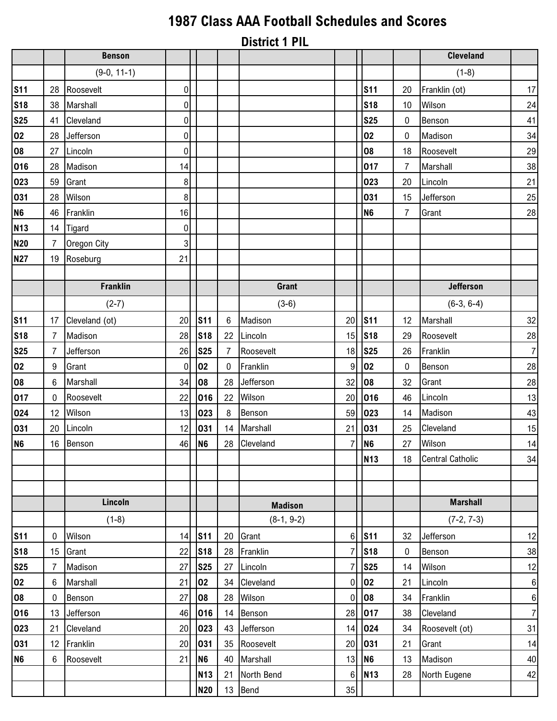## **1987 Class AAA Football Schedules and Scores**

**District 1 PIL**

|                |                 | <b>Benson</b>   |                  |                |                |                |                |                |                | <b>Cleveland</b>        |                  |
|----------------|-----------------|-----------------|------------------|----------------|----------------|----------------|----------------|----------------|----------------|-------------------------|------------------|
|                |                 | $(9-0, 11-1)$   |                  |                |                |                |                |                |                | $(1-8)$                 |                  |
| <b>S11</b>     |                 | 28 Roosevelt    | $\boldsymbol{0}$ |                |                |                |                | <b>S11</b>     | 20             | Franklin (ot)           | 17               |
| <b>S18</b>     | 38              | Marshall        | $\pmb{0}$        |                |                |                |                | <b>S18</b>     | 10             | Wilson                  | 24               |
| <b>S25</b>     | 41              | Cleveland       | $\pmb{0}$        |                |                |                |                | <b>S25</b>     | 0              | Benson                  | 41               |
| 02             | 28              | Jefferson       | 0                |                |                |                |                | 02             | 0              | Madison                 | 34               |
| 08             | 27              | Lincoln         | $\mathbf 0$      |                |                |                |                | 08             | 18             | Roosevelt               | 29               |
| 016            | 28              | Madison         | 14               |                |                |                |                | 017            | $\overline{7}$ | Marshall                | $38\,$           |
| 023            | 59              | Grant           | 8                |                |                |                |                | 023            | 20             | Lincoln                 | 21               |
| 031            | 28              | Wilson          | 8                |                |                |                |                | 031            | 15             | Jefferson               | 25               |
| N <sub>6</sub> | 46              | Franklin        | 16               |                |                |                |                | N <sub>6</sub> | 7              | Grant                   | 28               |
| <b>N13</b>     | 14              | Tigard          | $\pmb{0}$        |                |                |                |                |                |                |                         |                  |
| <b>N20</b>     | $\overline{7}$  | Oregon City     | $\mathbf{3}$     |                |                |                |                |                |                |                         |                  |
| <b>N27</b>     | 19              | Roseburg        | 21               |                |                |                |                |                |                |                         |                  |
|                |                 |                 |                  |                |                |                |                |                |                |                         |                  |
|                |                 | <b>Franklin</b> |                  |                |                | Grant          |                |                |                | <b>Jefferson</b>        |                  |
|                |                 | $(2-7)$         |                  |                |                | $(3-6)$        |                |                |                | $(6-3, 6-4)$            |                  |
| <b>S11</b>     | 17              | Cleveland (ot)  | 20               | <b>S11</b>     | $\,6\,$        | Madison        | 20             | <b>S11</b>     | 12             | Marshall                | 32               |
| <b>S18</b>     | $\overline{7}$  | Madison         | 28               | <b>S18</b>     | 22             | Lincoln        | 15             | <b>S18</b>     | 29             | Roosevelt               | 28               |
| <b>S25</b>     | 7               | Jefferson       | 26               | <b>S25</b>     | $\overline{7}$ | Roosevelt      | 18             | <b>S25</b>     | 26             | Franklin                | $\boldsymbol{7}$ |
| 02             | 9               | Grant           | $\mathbf 0$      | 02             | $\mathbf 0$    | Franklin       | 9              | 02             | 0              | Benson                  | 28               |
| 08             | 6               | Marshall        | 34               | 08             | 28             | Jefferson      | 32             | 08             | 32             | Grant                   | <u>28</u>        |
| 017            | 0               | Roosevelt       | 22               | 016            | 22             | Wilson         | 20             | 016            | 46             | Lincoln                 | 13               |
| 024            | 12 <sup>°</sup> | Wilson          | 13               | 023            | 8              | Benson         | 59             | 023            | 14             | Madison                 | 43               |
| 031            | 20              | Lincoln         | 12               | 031            | 14             | Marshall       | 21             | 031            | 25             | Cleveland               | 15               |
| N <sub>6</sub> | 16              | Benson          | 46               | N <sub>6</sub> | 28             | Cleveland      | $\overline{7}$ | N <sub>6</sub> | 27             | Wilson                  | 14               |
|                |                 |                 |                  |                |                |                |                | <b>N13</b>     | 18             | <b>Central Catholic</b> | 34               |
|                |                 |                 |                  |                |                |                |                |                |                |                         |                  |
|                |                 |                 |                  |                |                |                |                |                |                |                         |                  |
|                |                 | Lincoln         |                  |                |                | <b>Madison</b> |                |                |                | <b>Marshall</b>         |                  |
|                |                 | $(1-8)$         |                  |                |                | $(8-1, 9-2)$   |                |                |                | $(7-2, 7-3)$            |                  |
| <b>S11</b>     | 0               | Wilson          | 14               | <b>S11</b>     | 20             | Grant          | 6              | <b>S11</b>     | 32             | Jefferson               | 12               |
| <b>S18</b>     | 15              | Grant           | 22               | <b>S18</b>     | 28             | Franklin       | $\overline{7}$ | <b>S18</b>     | 0              | Benson                  | 38               |
| <b>S25</b>     | 7               | Madison         | 27               | <b>S25</b>     | 27             | Lincoln        | $\overline{7}$ | <b>S25</b>     | 14             | Wilson                  | 12               |
| 02             | 6               | Marshall        | 21               | 02             | 34             | Cleveland      | $\mathbf 0$    | 02             | 21             | Lincoln                 | $\boldsymbol{6}$ |
| 08             | 0               | Benson          | 27               | 08             | 28             | Wilson         | $\mathbf 0$    | 08             | 34             | Franklin                | $\boldsymbol{6}$ |
| 016            | 13              | Jefferson       | 46               | 016            | 14             | Benson         | 28             | 017            | 38             | Cleveland               | $\overline{7}$   |
| 023            | 21              | Cleveland       | 20               | 023            | 43             | Jefferson      | 14             | 024            | 34             | Roosevelt (ot)          | 31               |
| 031            | 12              | Franklin        | 20               | 031            | 35             | Roosevelt      | 20             | 031            | 21             | Grant                   | 14               |
| N <sub>6</sub> | 6               | Roosevelt       | 21               | N <sub>6</sub> | 40             | Marshall       | 13             | N <sub>6</sub> | 13             | Madison                 | 40               |
|                |                 |                 |                  | <b>N13</b>     | 21             | North Bend     | $6\phantom{.}$ | <b>N13</b>     | 28             | North Eugene            | 42               |
|                |                 |                 |                  | <b>N20</b>     | 13             | Bend           | 35             |                |                |                         |                  |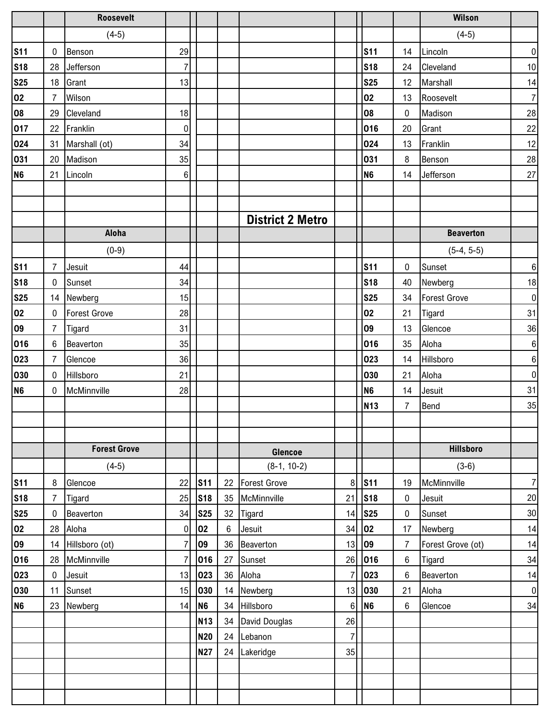|                 |                | <b>Roosevelt</b>    |                |                |    |                         |                |                |                | Wilson              |                  |
|-----------------|----------------|---------------------|----------------|----------------|----|-------------------------|----------------|----------------|----------------|---------------------|------------------|
|                 |                | $(4-5)$             |                |                |    |                         |                |                |                | $(4-5)$             |                  |
| <b>S11</b>      | 0              | Benson              | 29             |                |    |                         |                | <b>S11</b>     | 14             | Lincoln             | $\pmb{0}$        |
| <b>S18</b>      | 28             | Jefferson           | $\overline{7}$ |                |    |                         |                | <b>S18</b>     | 24             | Cleveland           | $10\,$           |
| <u>S25</u>      | 18             | Grant               | 13             |                |    |                         |                | <b>S25</b>     | 12             | Marshall            | 14               |
| $\overline{02}$ | $\overline{7}$ | Wilson              |                |                |    |                         |                | 02             | 13             | Roosevelt           | $\overline{7}$   |
| 80              | 29             | Cleveland           | 18             |                |    |                         |                | <b>08</b>      | 0              | Madison             | 28               |
| 017             | 22             | Franklin            | 0              |                |    |                         |                | 016            | 20             | Grant               | $22\,$           |
| 024             | 31             | Marshall (ot)       | 34             |                |    |                         |                | 024            | 13             | Franklin            | 12               |
| 031             | 20             | Madison             | 35             |                |    |                         |                | 031            | 8              | Benson              | 28               |
| N <sub>6</sub>  | 21             | Lincoln             | 6              |                |    |                         |                | N <sub>6</sub> | 14             | Jefferson           | 27               |
|                 |                |                     |                |                |    |                         |                |                |                |                     |                  |
|                 |                |                     |                |                |    |                         |                |                |                |                     |                  |
|                 |                |                     |                |                |    | <b>District 2 Metro</b> |                |                |                |                     |                  |
|                 |                | Aloha               |                |                |    |                         |                |                |                | <b>Beaverton</b>    |                  |
|                 |                | $(0-9)$             |                |                |    |                         |                |                |                | $(5-4, 5-5)$        |                  |
| <b>S11</b>      | $\overline{7}$ | Jesuit              | 44             |                |    |                         |                | <b>S11</b>     | $\mathbf 0$    | Sunset              | $\,6\,$          |
| <b>S18</b>      | $\mathbf 0$    | Sunset              | 34             |                |    |                         |                | <b>S18</b>     | 40             | Newberg             | 18               |
| <b>S25</b>      | 14             | Newberg             | 15             |                |    |                         |                | <b>S25</b>     | 34             | <b>Forest Grove</b> | $\boldsymbol{0}$ |
| 02              | 0              | <b>Forest Grove</b> | 28             |                |    |                         |                | 02             | 21             | Tigard              | 31               |
| 09              | $\overline{7}$ | Tigard              | 31             |                |    |                         |                | 09             | 13             | Glencoe             | 36               |
| 016             | $6\phantom{1}$ | Beaverton           | 35             |                |    |                         |                | 016            | 35             | Aloha               | $\boldsymbol{6}$ |
| 023             | $\overline{7}$ | Glencoe             | 36             |                |    |                         |                | 023            | 14             | Hillsboro           | $\boldsymbol{6}$ |
| 030             | $\mathbf{0}$   | Hillsboro           | 21             |                |    |                         |                | 030            | 21             | Aloha               | $\pmb{0}$        |
| N <sub>6</sub>  | 0              | McMinnville         | 28             |                |    |                         |                | N <sub>6</sub> | 14             | Jesuit              | 31               |
|                 |                |                     |                |                |    |                         |                | <b>N13</b>     | 7              | Bend                | 35               |
|                 |                |                     |                |                |    |                         |                |                |                |                     |                  |
|                 |                |                     |                |                |    |                         |                |                |                |                     |                  |
|                 |                | <b>Forest Grove</b> |                |                |    | Glencoe                 |                |                |                | <b>Hillsboro</b>    |                  |
|                 |                | $(4-5)$             |                |                |    | $(8-1, 10-2)$           |                |                |                | $(3-6)$             |                  |
| <b>S11</b>      | 8              | Glencoe             | 22             | <b>S11</b>     | 22 | <b>Forest Grove</b>     | 8              | <b>S11</b>     | 19             | McMinnville         | $\boldsymbol{7}$ |
| <b>S18</b>      | $\overline{7}$ | Tigard              | 25             | <b>S18</b>     | 35 | McMinnville             | 21             | <b>S18</b>     | 0              | Jesuit              | 20               |
| <b>S25</b>      | $\pmb{0}$      | Beaverton           | 34             | <b>S25</b>     | 32 | Tigard                  | 14             | <b>S25</b>     | $\pmb{0}$      | Sunset              | $30\,$           |
| 02              | 28             | Aloha               | 0              | 02             | 6  | Jesuit                  | 34             | 02             | 17             | Newberg             | 14               |
| 09              | 14             | Hillsboro (ot)      | $\overline{7}$ | 09             | 36 | Beaverton               | 13             | 09             | $\overline{7}$ | Forest Grove (ot)   | 14               |
| 016             | 28             | McMinnville         | 7              | 016            | 27 | Sunset                  | 26             | 016            | 6              | Tigard              | 34               |
| 023             | 0              | Jesuit              | 13             | 023            | 36 | Aloha                   | $\overline{7}$ | 023            | 6              | Beaverton           | 14               |
| 030             | 11             | Sunset              | 15             | 030            | 14 | Newberg                 | 13             | 030            | 21             | Aloha               | $\pmb{0}$        |
| N <sub>6</sub>  | 23             | Newberg             | 14             | N <sub>6</sub> | 34 | Hillsboro               | 6              | N <sub>6</sub> | $\,6\,$        | Glencoe             | 34               |
|                 |                |                     |                | <b>N13</b>     | 34 | David Douglas           | 26             |                |                |                     |                  |
|                 |                |                     |                | <b>N20</b>     |    | 24 Lebanon              | $\overline{7}$ |                |                |                     |                  |
|                 |                |                     |                | <b>N27</b>     |    | 24 Lakeridge            | 35             |                |                |                     |                  |
|                 |                |                     |                |                |    |                         |                |                |                |                     |                  |
|                 |                |                     |                |                |    |                         |                |                |                |                     |                  |
|                 |                |                     |                |                |    |                         |                |                |                |                     |                  |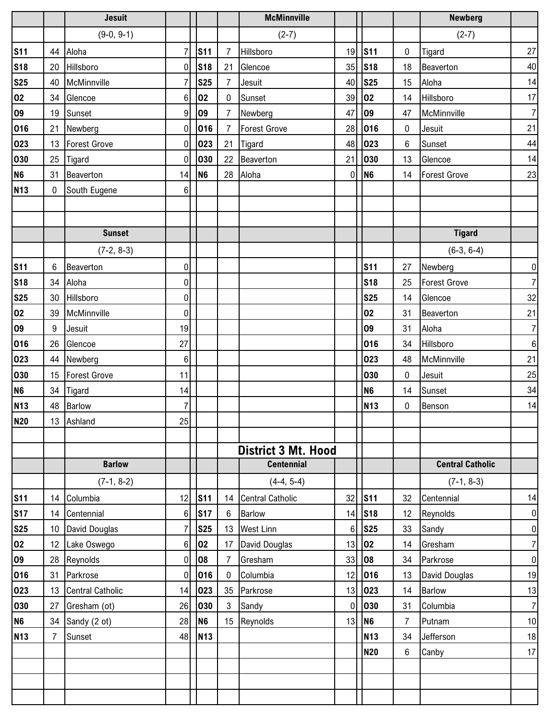|                |                 | <b>Jesuit</b>           |                  |                 |                | <b>McMinnville</b>         |             |                |                | <b>Newberg</b>          |                  |
|----------------|-----------------|-------------------------|------------------|-----------------|----------------|----------------------------|-------------|----------------|----------------|-------------------------|------------------|
|                |                 | $(9-0, 9-1)$            |                  |                 |                | $(2-7)$                    |             |                |                | $(2-7)$                 |                  |
| <b>S11</b>     |                 | 44 Aloha                | $\overline{7}$   | <b>S11</b>      | $\overline{7}$ | Hillsboro                  | 19          | <b>S11</b>     | 0              | Tigard                  | 27               |
| <b>S18</b>     | 20              | Hillsboro               | $\overline{0}$   | <b>S18</b>      | 21             | Glencoe                    | 35          | <b>S18</b>     | 18             | Beaverton               | 40               |
| <b>S25</b>     | 40              | McMinnville             | $\overline{7}$   | <b>S25</b>      | $\overline{7}$ | Jesuit                     | 40          | <b>S25</b>     | 15             | Aloha                   | 14               |
| 02             | 34              | Glencoe                 | 6                | 02              | $\mathbf 0$    | Sunset                     | 39          | 02             | 14             | Hillsboro               | 17               |
| 09             | 19              | Sunset                  | 9                | 09              | $\overline{7}$ | Newberg                    | 47          | 09             | 47             | McMinnville             | $\overline{7}$   |
| 016            | 21              | Newberg                 | 0                | 016             | $\overline{7}$ | <b>Forest Grove</b>        | 28          | 016            | 0              | Jesuit                  | 21               |
| 023            | 13              | <b>Forest Grove</b>     | 0                | 023             | 21             | Tigard                     | 48          | 023            | 6              | Sunset                  | 44               |
| 030            |                 | 25 Tigard               | 0                | 030             | 22             | Beaverton                  | 21          | 030            | 13             | Glencoe                 | 14               |
| N <sub>6</sub> | 31              | Beaverton               | 14               | N <sub>6</sub>  | 28             | Aloha                      | $\mathbf 0$ | N <sub>6</sub> | 14             | <b>Forest Grove</b>     | 23               |
| <b>N13</b>     | $\mathbf 0$     | South Eugene            | 6                |                 |                |                            |             |                |                |                         |                  |
|                |                 |                         |                  |                 |                |                            |             |                |                |                         |                  |
|                |                 |                         |                  |                 |                |                            |             |                |                |                         |                  |
|                |                 | <b>Sunset</b>           |                  |                 |                |                            |             |                |                | <b>Tigard</b>           |                  |
|                |                 | $(7-2, 8-3)$            |                  |                 |                |                            |             |                |                | $(6-3, 6-4)$            |                  |
| <b>S11</b>     | 6               | Beaverton               | 0                |                 |                |                            |             | <b>S11</b>     | 27             | Newberg                 | $\pmb{0}$        |
| <b>S18</b>     |                 | 34 Aloha                | $\boldsymbol{0}$ |                 |                |                            |             | <b>S18</b>     | 25             | <b>Forest Grove</b>     | $\overline{7}$   |
| <b>S25</b>     | 30              | Hillsboro               | $\boldsymbol{0}$ |                 |                |                            |             | <b>S25</b>     | 14             | Glencoe                 | 32               |
| 02             | 39              | McMinnville             | 0                |                 |                |                            |             | 02             | 31             | Beaverton               | 21               |
| 09             | 9               | Jesuit                  | 19               |                 |                |                            |             | 09             | 31             | Aloha                   | $\overline{7}$   |
| 016            | 26              | Glencoe                 | 27               |                 |                |                            |             | 016            | 34             | Hillsboro               | $\boldsymbol{6}$ |
| 023            |                 | 44 Newberg              | 6                |                 |                |                            |             | 023            | 48             | McMinnville             | 21               |
| 030            |                 | 15 Forest Grove         | 11               |                 |                |                            |             | 030            | $\bf{0}$       | Jesuit                  | 25               |
| N <sub>6</sub> |                 | 34 Tigard               | 14               |                 |                |                            |             | N <sub>6</sub> | 14             | Sunset                  | 34               |
| <b>N13</b>     | 48              | <b>Barlow</b>           | 7                |                 |                |                            |             | <b>N13</b>     | 0              | Benson                  | 14               |
| <b>N20</b>     |                 | 13 Ashland              | 25               |                 |                |                            |             |                |                |                         |                  |
|                |                 |                         |                  |                 |                |                            |             |                |                |                         |                  |
|                |                 |                         |                  |                 |                | <b>District 3 Mt. Hood</b> |             |                |                |                         |                  |
|                |                 | <b>Barlow</b>           |                  |                 |                | <b>Centennial</b>          |             |                |                | <b>Central Catholic</b> |                  |
|                |                 | $(7-1, 8-2)$            |                  |                 |                | $(4-4, 5-4)$               |             |                |                | $(7-1, 8-3)$            |                  |
| <b>S11</b>     |                 | 14 Columbia             | 12               | S <sub>11</sub> |                | 14 Central Catholic        | 32          | <b>S11</b>     | 32             | Centennial              | 14               |
| <b>S17</b>     | 14              | Centennial              | $6\phantom{.}$   | <b>S17</b>      | 6              | <b>Barlow</b>              | 14          | <b>S18</b>     | 12             | Reynolds                | $\pmb{0}$        |
| <b>S25</b>     | 10              | David Douglas           | $\overline{7}$   | <b>S25</b>      | 13             | <b>West Linn</b>           | $\,6$       | <b>S25</b>     | 33             | Sandy                   | $\pmb{0}$        |
| 02             | 12 <sup>2</sup> | Lake Oswego             | 6                | 02              | 17             | David Douglas              | 13          | 02             | 14             | Gresham                 | $\overline{7}$   |
| 09             |                 | 28 Reynolds             | 0                | 08              | 7              | Gresham                    | 33          | 08             | 34             | Parkrose                | $\pmb{0}$        |
| 016            | 31              | Parkrose                | 0                | 016             | 0              | Columbia                   | 12          | 016            | 13             | David Douglas           | 19               |
| 023            | 13              | <b>Central Catholic</b> | 14               | 023             | 35             | Parkrose                   | 13          | 023            | 14             | <b>Barlow</b>           | 13               |
| 030            | 27              | Gresham (ot)            | 26               | 030             | $\mathbf{3}$   | Sandy                      | $\mathbf 0$ | 030            | 31             | Columbia                | $\overline{7}$   |
| N <sub>6</sub> |                 | 34 Sandy (2 ot)         | 28               | N <sub>6</sub>  |                | 15 Reynolds                | 13          | N <sub>6</sub> | $\overline{7}$ | Putnam                  | 10               |
| <b>N13</b>     | $\overline{7}$  | Sunset                  | 48               | <b>N13</b>      |                |                            |             | <b>N13</b>     | 34             | Jefferson               | 18               |
|                |                 |                         |                  |                 |                |                            |             | <b>N20</b>     | 6              | Canby                   | 17               |
|                |                 |                         |                  |                 |                |                            |             |                |                |                         |                  |
|                |                 |                         |                  |                 |                |                            |             |                |                |                         |                  |
|                |                 |                         |                  |                 |                |                            |             |                |                |                         |                  |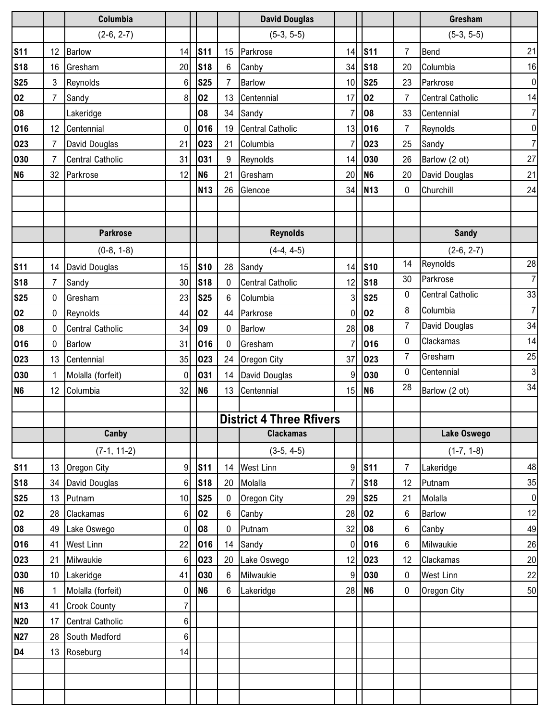|                       |                       | Columbia                      |                    |                |                | <b>David Douglas</b>              |                      |                |                | Gresham                  |                  |
|-----------------------|-----------------------|-------------------------------|--------------------|----------------|----------------|-----------------------------------|----------------------|----------------|----------------|--------------------------|------------------|
|                       |                       | $(2-6, 2-7)$                  |                    |                |                | $(5-3, 5-5)$                      |                      |                |                | $(5-3, 5-5)$             |                  |
| <b>S11</b>            | 12                    | <b>Barlow</b>                 | 14                 | <b>S11</b>     | 15             | Parkrose                          | 14                   | <b>S11</b>     | $\overline{7}$ | <b>Bend</b>              | 21               |
| <b>S18</b>            | 16                    | Gresham                       | 20                 | <b>S18</b>     | 6              | Canby                             | 34                   | <b>S18</b>     | 20             | Columbia                 | 16               |
| <b>S25</b>            | $\mathbf{3}$          | Reynolds                      | $6 \,$             | <b>S25</b>     | 7              | <b>Barlow</b>                     | 10                   | <b>S25</b>     | 23             | Parkrose                 | $\boldsymbol{0}$ |
| 02                    | $\overline{7}$        | Sandy                         | $\boldsymbol{8}$   | 02             | 13             | Centennial                        | 17                   | 02             | $\overline{7}$ | <b>Central Catholic</b>  | 14               |
| 08                    |                       | Lakeridge                     |                    | 08             | 34             | Sandy                             | $\overline{7}$       | 08             | 33             | Centennial               | $\overline{7}$   |
| 016                   | 12 <sup>2</sup>       | Centennial                    | $\overline{0}$     | 016            | 19             | <b>Central Catholic</b>           | 13                   | 016            | $\overline{7}$ | Reynolds                 | $\pmb{0}$        |
| 023                   | $\overline{7}$        | David Douglas                 | 21                 | 023            | 21             | Columbia                          | $\overline{7}$       | 023            | 25             | Sandy                    | $\overline{7}$   |
| 030                   | $\overline{7}$        | <b>Central Catholic</b>       | 31                 | 031            | 9              | Reynolds                          | 14                   | 030            | 26             | Barlow (2 ot)            | 27               |
| <b>N6</b>             | 32                    | Parkrose                      | 12                 | N <sub>6</sub> | 21             | Gresham                           | 20                   | N <sub>6</sub> | 20             | David Douglas            | 21               |
|                       |                       |                               |                    | <b>N13</b>     | 26             | Glencoe                           | 34                   | <b>N13</b>     | 0              | Churchill                | 24               |
|                       |                       |                               |                    |                |                |                                   |                      |                |                |                          |                  |
|                       |                       | <b>Parkrose</b>               |                    |                |                | <b>Reynolds</b>                   |                      |                |                | <b>Sandy</b>             |                  |
|                       |                       |                               |                    |                |                |                                   |                      |                |                |                          |                  |
|                       |                       | $(0-8, 1-8)$                  |                    |                |                | $(4-4, 4-5)$                      |                      |                | 14             | $(2-6, 2-7)$<br>Reynolds | 28               |
| <b>S11</b>            | 14                    | David Douglas                 | 15                 | <b>S10</b>     | 28             | Sandy                             | 14                   | <b>S10</b>     | 30             | Parkrose                 | $\overline{7}$   |
| <b>S18</b>            | $\overline{7}$        | Sandy                         | 30                 | <b>S18</b>     | 0              | <b>Central Catholic</b>           | 12                   | <b>S18</b>     | 0              | <b>Central Catholic</b>  | 33               |
| <b>S25</b>            | 0                     | Gresham                       | 23                 | <b>S25</b>     | 6              | Columbia                          | 3                    | <b>S25</b>     | 8              | Columbia                 | $\overline{7}$   |
| 02                    | 0                     | Reynolds                      | 44                 | 02             | 44             | Parkrose                          | 0                    | 02<br>08       | $\overline{7}$ | David Douglas            | 34               |
| 08                    | $\mathbf 0$           | <b>Central Catholic</b>       | 34<br>31           | 09<br>016      | 0              | <b>Barlow</b>                     | 28                   | 016            | 0              | Clackamas                | 14               |
| 016                   | 0                     | <b>Barlow</b>                 |                    |                | $\mathbf 0$    | Gresham                           | $\overline{7}$<br>37 | 023            | 7              | Gresham                  | 25               |
| 023                   | 13                    | Centennial                    | 35                 | 023<br>031     |                | 24 Oregon City                    | 9                    | 030            | 0              | Centennial               | $\overline{3}$   |
| 030<br>N <sub>6</sub> | 1.<br>12 <sup>°</sup> | Molalla (forfeit)<br>Columbia | $\mathbf{0}$<br>32 | N <sub>6</sub> |                | 14 David Douglas<br>13 Centennial | 15                   | <b>N6</b>      | 28             |                          | 34               |
|                       |                       |                               |                    |                |                |                                   |                      |                |                | Barlow (2 ot)            |                  |
|                       |                       |                               |                    |                |                | <b>District 4 Three Rfivers</b>   |                      |                |                |                          |                  |
|                       |                       | Canby                         |                    |                |                | <b>Clackamas</b>                  |                      |                |                | Lake Oswego              |                  |
|                       |                       | $(7-1, 11-2)$                 |                    |                |                | $(3-5, 4-5)$                      |                      |                |                | $(1-7, 1-8)$             |                  |
| <b>S11</b>            | 13                    | Oregon City                   | 9 <sup>1</sup>     | <b>S11</b>     |                | 14 West Linn                      | 9                    | <b>S11</b>     | $\overline{7}$ | Lakeridge                | 48               |
| <b>S18</b>            | 34                    | David Douglas                 | 6                  | <b>S18</b>     | 20             | Molalla                           | 7                    | <b>S18</b>     | 12             | Putnam                   | 35               |
| <b>S25</b>            | 13                    | Putnam                        | 10                 | <b>S25</b>     | 0              | Oregon City                       | 29                   | <b>S25</b>     | 21             | Molalla                  | $\pmb{0}$        |
| 02                    | 28                    | Clackamas                     | $6\phantom{.}$     | 02             | $6\phantom{.}$ | Canby                             | 28                   | 02             | 6              | <b>Barlow</b>            | 12               |
| 80                    | 49                    | Lake Oswego                   | 0                  | 80             | 0              | Putnam                            | 32                   | 08             | 6              | Canby                    | 49               |
| 016                   | 41                    | <b>West Linn</b>              | 22                 | 016            | 14             | Sandy                             | $\mathbf 0$          | 016            | 6              | Milwaukie                | 26               |
| 023                   | 21                    | Milwaukie                     | 6                  | 023            | 20             | Lake Oswego                       | 12                   | 023            | 12             | Clackamas                | 20               |
| 030                   | 10                    | Lakeridge                     | 41                 | 030            | 6              | Milwaukie                         | 9                    | 030            | 0              | <b>West Linn</b>         | 22               |
| N <sub>6</sub>        | 1                     | Molalla (forfeit)             | 0                  | N <sub>6</sub> | 6              | Lakeridge                         | 28                   | N <sub>6</sub> | 0              | Oregon City              | 50               |
| <b>N13</b>            | 41                    | <b>Crook County</b>           | $\overline{7}$     |                |                |                                   |                      |                |                |                          |                  |
| <b>N20</b>            | 17                    | <b>Central Catholic</b>       | $6\phantom{.}$     |                |                |                                   |                      |                |                |                          |                  |
| <b>N27</b>            | 28                    | South Medford                 | $6\phantom{.}$     |                |                |                                   |                      |                |                |                          |                  |
| D <sub>4</sub>        | 13                    | Roseburg                      | 14                 |                |                |                                   |                      |                |                |                          |                  |
|                       |                       |                               |                    |                |                |                                   |                      |                |                |                          |                  |
|                       |                       |                               |                    |                |                |                                   |                      |                |                |                          |                  |
|                       |                       |                               |                    |                |                |                                   |                      |                |                |                          |                  |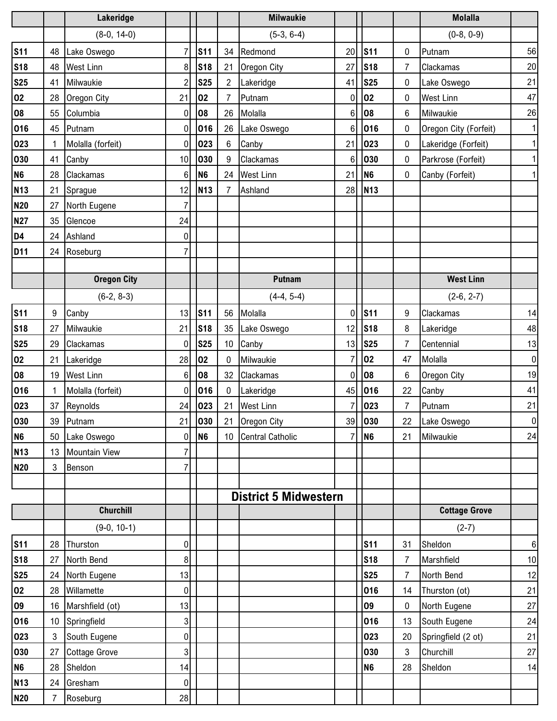|                |    | Lakeridge            |                  |                |                 | <b>Milwaukie</b>             |                |                |                | <b>Molalla</b>        |              |
|----------------|----|----------------------|------------------|----------------|-----------------|------------------------------|----------------|----------------|----------------|-----------------------|--------------|
|                |    | $(8-0, 14-0)$        |                  |                |                 | $(5-3, 6-4)$                 |                |                |                | $(0-8, 0-9)$          |              |
| <b>S11</b>     |    | 48 Lake Oswego       | $\overline{7}$   | <b>S11</b>     |                 | 34 Redmond                   | 20             | <b>S11</b>     | 0              | Putnam                | 56           |
| <b>S18</b>     | 48 | <b>West Linn</b>     | 8 <sup>1</sup>   | <b>S18</b>     | 21              | Oregon City                  | 27             | <b>S18</b>     | $\overline{7}$ | Clackamas             | 20           |
| <b>S25</b>     | 41 | Milwaukie            | $\overline{2}$   | <b>S25</b>     | $\overline{2}$  | Lakeridge                    | 41             | <b>S25</b>     | 0              | Lake Oswego           | 21           |
| 02             | 28 | Oregon City          | 21               | 02             | $\overline{7}$  | Putnam                       | 0              | 02             | 0              | <b>West Linn</b>      | 47           |
| 08             | 55 | Columbia             | $\boldsymbol{0}$ | 08             | 26              | Molalla                      | 6              | 08             | 6              | Milwaukie             | 26           |
| 016            | 45 | Putnam               | $\overline{0}$   | 016            |                 | 26 Lake Oswego               | 6              | 016            | 0              | Oregon City (Forfeit) | $\mathbf{1}$ |
| 023            | 1  | Molalla (forfeit)    | $\overline{0}$   | 023            | 6               | Canby                        | 21             | 023            | 0              | Lakeridge (Forfeit)   | $\mathbf 1$  |
| 030            | 41 | Canby                | 10 <sup>1</sup>  | 030            | 9               | Clackamas                    | $6\phantom{a}$ | 030            | 0              | Parkrose (Forfeit)    | $\mathbf{1}$ |
| N <sub>6</sub> | 28 | Clackamas            | 6                | N <sub>6</sub> | 24              | <b>West Linn</b>             | 21             | N <sub>6</sub> | 0              | Canby (Forfeit)       | $\mathbf 1$  |
| <b>N13</b>     |    | 21 Sprague           | 12               | <b>N13</b>     | $\overline{7}$  | Ashland                      | 28             | <b>N13</b>     |                |                       |              |
| <b>N20</b>     |    | 27 North Eugene      | $\overline{7}$   |                |                 |                              |                |                |                |                       |              |
| <b>N27</b>     | 35 | Glencoe              | 24               |                |                 |                              |                |                |                |                       |              |
| D <sub>4</sub> |    | 24 Ashland           | $\overline{0}$   |                |                 |                              |                |                |                |                       |              |
| <b>D11</b>     | 24 | Roseburg             | $\overline{7}$   |                |                 |                              |                |                |                |                       |              |
|                |    |                      |                  |                |                 |                              |                |                |                |                       |              |
|                |    | <b>Oregon City</b>   |                  |                |                 | <b>Putnam</b>                |                |                |                | <b>West Linn</b>      |              |
|                |    | $(6-2, 8-3)$         |                  |                |                 | $(4-4, 5-4)$                 |                |                |                | $(2-6, 2-7)$          |              |
| <b>S11</b>     | 9  | Canby                | 13               | <b>S11</b>     | 56              | Molalla                      | 0              | <b>S11</b>     | 9              | Clackamas             | 14           |
| <b>S18</b>     | 27 | Milwaukie            | 21               | <b>S18</b>     | 35              | Lake Oswego                  | 12             | <b>S18</b>     | 8              | Lakeridge             | 48           |
| <b>S25</b>     | 29 | Clackamas            | $\overline{0}$   | <b>S25</b>     | 10 <sup>°</sup> | Canby                        | 13             | <b>S25</b>     | $\overline{7}$ | Centennial            | 13           |
| 02             | 21 | Lakeridge            | 28               | 02             | $\mathbf{0}$    | Milwaukie                    | 7              | 02             | 47             | Molalla               | $\pmb{0}$    |
| 08             | 19 | <b>West Linn</b>     | 6                | 08             | 32              | Clackamas                    | $\mathbf{0}$   | 08             | 6              | Oregon City           | 19           |
| 016            |    | Molalla (forfeit)    | $\overline{0}$   | 016            | $\mathbf 0$     | Lakeridge                    | 45             | 016            | 22             | Canby                 | 41           |
| 023            | 37 | Reynolds             | 24               | 023            | 21              | <b>West Linn</b>             | $\overline{7}$ | 023            | $\overline{7}$ | Putnam                | 21           |
| 030            |    | 39 Putnam            |                  | 21 030         |                 | 21 Oregon City               |                | 39 030         | 22             | Lake Oswego           | $\,0\,$      |
| N <sub>6</sub> | 50 | Lake Oswego          | $\overline{0}$   | N <sub>6</sub> |                 | 10 Central Catholic          | $\overline{7}$ | N <sub>6</sub> | 21             | Milwaukie             | 24           |
| <b>N13</b>     | 13 | <b>Mountain View</b> | 7                |                |                 |                              |                |                |                |                       |              |
| <b>N20</b>     | 3  | Benson               | $\overline{7}$   |                |                 |                              |                |                |                |                       |              |
|                |    |                      |                  |                |                 |                              |                |                |                |                       |              |
|                |    |                      |                  |                |                 | <b>District 5 Midwestern</b> |                |                |                |                       |              |
|                |    | <b>Churchill</b>     |                  |                |                 |                              |                |                |                | <b>Cottage Grove</b>  |              |
|                |    | $(9-0, 10-1)$        |                  |                |                 |                              |                |                |                | $(2-7)$               |              |
| <b>S11</b>     | 28 | Thurston             | $\overline{0}$   |                |                 |                              |                | <b>S11</b>     | 31             | Sheldon               | $\,6\,$      |
| <b>S18</b>     | 27 | North Bend           | 8 <sup>1</sup>   |                |                 |                              |                | <b>S18</b>     | $\overline{7}$ | Marshfield            | 10           |
| <b>S25</b>     | 24 | North Eugene         | 13               |                |                 |                              |                | <b>S25</b>     | 7              | North Bend            | 12           |
| 02             | 28 | Willamette           | 0                |                |                 |                              |                | 016            | 14             | Thurston (ot)         | 21           |
| 09             | 16 | Marshfield (ot)      | 13               |                |                 |                              |                | 09             | 0              | North Eugene          | 27           |
| 016            | 10 | Springfield          | 3 <sup>1</sup>   |                |                 |                              |                | 016            | 13             | South Eugene          | 24           |
| 023            | 3  | South Eugene         | $\overline{0}$   |                |                 |                              |                | 023            | 20             | Springfield (2 ot)    | 21           |
| 030            | 27 | <b>Cottage Grove</b> | 3 <sup>1</sup>   |                |                 |                              |                | 030            | 3              | Churchill             | 27           |
| N <sub>6</sub> | 28 | Sheldon              | 14               |                |                 |                              |                | N <sub>6</sub> | 28             | Sheldon               | 14           |
| <b>N13</b>     | 24 | Gresham              | 0                |                |                 |                              |                |                |                |                       |              |
| <b>N20</b>     | 7  | Roseburg             | 28               |                |                 |                              |                |                |                |                       |              |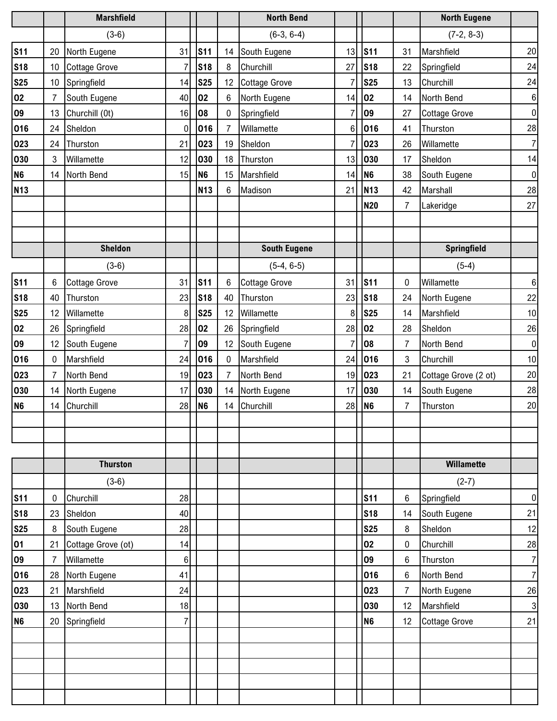|                 |                 | <b>Marshfield</b>    |                |                 |                 | <b>North Bend</b>    |                 |                 |                | <b>North Eugene</b>  |                  |
|-----------------|-----------------|----------------------|----------------|-----------------|-----------------|----------------------|-----------------|-----------------|----------------|----------------------|------------------|
|                 |                 | $(3-6)$              |                |                 |                 | $(6-3, 6-4)$         |                 |                 |                | $(7-2, 8-3)$         |                  |
| <b>S11</b>      | 20              | North Eugene         | 31             | S <sub>11</sub> | 14              | South Eugene         | 13              | <b>S11</b>      | 31             | Marshfield           | 20               |
| <b>S18</b>      | 10              | <b>Cottage Grove</b> |                | <b>S18</b>      | 8               | Churchill            | 27              | <b>S18</b>      | 22             | Springfield          | 24               |
| <b>S25</b>      | 10 <sup>1</sup> | Springfield          | 14             | <b>S25</b>      | 12 <sup>°</sup> | <b>Cottage Grove</b> | $\overline{7}$  | <b>S25</b>      | 13             | Churchill            | 24               |
| 02              | $\overline{7}$  | South Eugene         | 40             | 02              | 6               | North Eugene         | 14              | 02              | 14             | North Bend           | $\,6\,$          |
| 09              | 13              | Churchill (0t)       | 16             | 08              | 0               | Springfield          | $\overline{7}$  | 09              | 27             | <b>Cottage Grove</b> | $\pmb{0}$        |
| 016             | 24              | Sheldon              | 0              | 016             | 7               | Willamette           | $6\phantom{1}6$ | 016             | 41             | Thurston             | 28               |
| 023             | 24              | Thurston             | 21             | 023             | 19              | Sheldon              | $\overline{7}$  | 023             | 26             | Willamette           | $\overline{7}$   |
| 030             | 3               | Willamette           | 12             | 030             | 18              | Thurston             | 13              | 030             | 17             | Sheldon              | 14               |
| <b>N6</b>       | 14              | North Bend           | 15             | N <sub>6</sub>  | 15              | Marshfield           | 14              | N <sub>6</sub>  | 38             | South Eugene         | $\pmb{0}$        |
| <b>N13</b>      |                 |                      |                | <b>N13</b>      | $6\phantom{1}$  | Madison              | 21              | N <sub>13</sub> | 42             | Marshall             | 28               |
|                 |                 |                      |                |                 |                 |                      |                 | <b>N20</b>      | 7              | Lakeridge            | 27               |
|                 |                 |                      |                |                 |                 |                      |                 |                 |                |                      |                  |
|                 |                 |                      |                |                 |                 |                      |                 |                 |                |                      |                  |
|                 |                 | <b>Sheldon</b>       |                |                 |                 | <b>South Eugene</b>  |                 |                 |                | Springfield          |                  |
|                 |                 | $(3-6)$              |                |                 |                 | $(5-4, 6-5)$         |                 |                 |                | $(5-4)$              |                  |
| <b>S11</b>      | 6               | <b>Cottage Grove</b> | 31             | <b>S11</b>      | 6               | <b>Cottage Grove</b> | 31              | <b>S11</b>      | 0              | Willamette           | $\,6\,$          |
| <b>S18</b>      | 40              | Thurston             | 23             | <b>S18</b>      | 40              | Thurston             | 23              | <b>S18</b>      | 24             | North Eugene         | 22               |
| <b>S25</b>      | 12              | Willamette           | 8              | <b>S25</b>      | 12              | Willamette           | 8               | <b>S25</b>      | 14             | Marshfield           | 10               |
| 02              | 26              | Springfield          | 28             | 02              | 26              | Springfield          | 28              | 02              | 28             | Sheldon              | 26               |
| 09              | 12              | South Eugene         | $\overline{7}$ | 09              | 12              | South Eugene         | $\overline{7}$  | 08              | $\overline{7}$ | North Bend           | $\pmb{0}$        |
| 016             | $\mathbf 0$     | Marshfield           | 24             | 016             | $\mathbf 0$     | Marshfield           | 24              | 016             | 3              | Churchill            | 10               |
| 023             | $\overline{7}$  | North Bend           | 19             | 023             | 7               | North Bend           | 19              | 023             | 21             | Cottage Grove (2 ot) | 20               |
| 030             | 14              | North Eugene         | 17             | 030             | 14              | North Eugene         | 17              | 030             | 14             | South Eugene         | 28               |
| <b>N6</b>       | 14              | Churchill            | 28             | N <sub>6</sub>  | 14              | Churchill            | 28              | N <sub>6</sub>  | $\overline{7}$ | Thurston             | 20               |
|                 |                 |                      |                |                 |                 |                      |                 |                 |                |                      |                  |
|                 |                 |                      |                |                 |                 |                      |                 |                 |                |                      |                  |
|                 |                 |                      |                |                 |                 |                      |                 |                 |                |                      |                  |
|                 |                 | <b>Thurston</b>      |                |                 |                 |                      |                 |                 |                | <b>Willamette</b>    |                  |
|                 |                 | $(3-6)$              |                |                 |                 |                      |                 |                 |                | $(2-7)$              |                  |
| <b>S11</b>      | 0               | Churchill            | 28             |                 |                 |                      |                 | <b>S11</b>      | 6              | Springfield          | $\pmb{0}$        |
| <b>S18</b>      | 23              | Sheldon              | 40             |                 |                 |                      |                 | <b>S18</b>      | 14             | South Eugene         | 21               |
| <b>S25</b>      | 8               | South Eugene         | 28             |                 |                 |                      |                 | <b>S25</b>      | 8              | Sheldon              | 12               |
| $\overline{01}$ | 21              | Cottage Grove (ot)   | 14             |                 |                 |                      |                 | 02              | 0              | Churchill            | 28               |
| 09              | $\overline{7}$  | Willamette           | 6              |                 |                 |                      |                 | 09              | 6              | Thurston             | $\overline{7}$   |
| 016             | 28              | North Eugene         | 41             |                 |                 |                      |                 | 016             | $\,6$          | North Bend           | $\boldsymbol{7}$ |
| 023             | 21              | Marshfield           | 24             |                 |                 |                      |                 | 023             | $\overline{7}$ | North Eugene         | 26               |
| 030             | 13              | North Bend           | 18             |                 |                 |                      |                 | 030             | 12             | Marshfield           | 3                |
| N <sub>6</sub>  | 20              | Springfield          | 7              |                 |                 |                      |                 | N <sub>6</sub>  | 12             | <b>Cottage Grove</b> | 21               |
|                 |                 |                      |                |                 |                 |                      |                 |                 |                |                      |                  |
|                 |                 |                      |                |                 |                 |                      |                 |                 |                |                      |                  |
|                 |                 |                      |                |                 |                 |                      |                 |                 |                |                      |                  |
|                 |                 |                      |                |                 |                 |                      |                 |                 |                |                      |                  |
|                 |                 |                      |                |                 |                 |                      |                 |                 |                |                      |                  |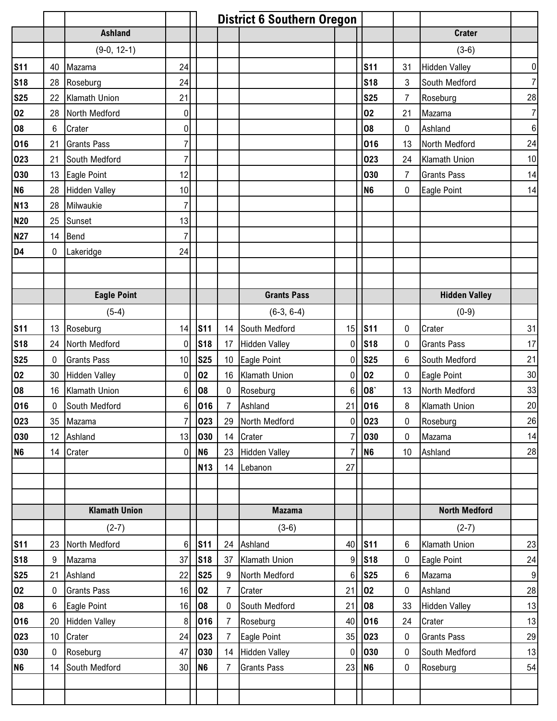|                   |                 |                      |                | <b>District 6 Southern Oregon</b> |                |                    |                |                 |                |                      |                  |
|-------------------|-----------------|----------------------|----------------|-----------------------------------|----------------|--------------------|----------------|-----------------|----------------|----------------------|------------------|
|                   |                 | <b>Ashland</b>       |                |                                   |                |                    |                |                 |                | <b>Crater</b>        |                  |
|                   |                 | $(9-0, 12-1)$        |                |                                   |                |                    |                |                 |                | $(3-6)$              |                  |
| <b>S11</b>        | 40              | Mazama               | 24             |                                   |                |                    |                | <b>S11</b>      | 31             | <b>Hidden Valley</b> | $\boldsymbol{0}$ |
| <b>S18</b>        | 28              | Roseburg             | 24             |                                   |                |                    |                | <b>S18</b>      | 3              | South Medford        | $\overline{7}$   |
| <u>S25</u>        | 22              | Klamath Union        | 21             |                                   |                |                    |                | <b>S25</b>      | $\overline{7}$ | Roseburg             | 28               |
| 02                | 28              | North Medford        | $\mathbf 0$    |                                   |                |                    |                | 02              | 21             | Mazama               | $\overline{7}$   |
| 80                | 6               | Crater               | 0              |                                   |                |                    |                | 08              | 0              | Ashland              | $6\phantom{1}6$  |
| 016               | 21              | <b>Grants Pass</b>   | 7              |                                   |                |                    |                | 016             | 13             | North Medford        | 24               |
| 023               | 21              | South Medford        | 7              |                                   |                |                    |                | 023             | 24             | Klamath Union        | 10               |
| 030               | 13              | Eagle Point          | 12             |                                   |                |                    |                | 030             | $\overline{7}$ | <b>Grants Pass</b>   | 14               |
| <b>N6</b>         | 28              | <b>Hidden Valley</b> | 10             |                                   |                |                    |                | N <sub>6</sub>  | $\mathbf 0$    | Eagle Point          | 14               |
| <b>N13</b>        | 28              | Milwaukie            | 7              |                                   |                |                    |                |                 |                |                      |                  |
| <b>N20</b>        | 25              | Sunset               | 13             |                                   |                |                    |                |                 |                |                      |                  |
| <b>N27</b>        | 14              | Bend                 | 7              |                                   |                |                    |                |                 |                |                      |                  |
| D <sub>4</sub>    | 0               | Lakeridge            | 24             |                                   |                |                    |                |                 |                |                      |                  |
|                   |                 |                      |                |                                   |                |                    |                |                 |                |                      |                  |
|                   |                 |                      |                |                                   |                |                    |                |                 |                |                      |                  |
|                   |                 | <b>Eagle Point</b>   |                |                                   |                | <b>Grants Pass</b> |                |                 |                | <b>Hidden Valley</b> |                  |
|                   |                 | $(5-4)$              |                |                                   |                | $(6-3, 6-4)$       |                |                 |                | $(0-9)$              |                  |
| <b>S11</b>        | 13              | Roseburg             | 14             | <b>S11</b>                        |                | 14 South Medford   | 15             | <b>S11</b>      | 0              | Crater               | 31               |
| <b>S18</b>        | 24              | North Medford        | 0              | <b>S18</b>                        |                | 17 Hidden Valley   | 0              | <b>S18</b>      | 0              | <b>Grants Pass</b>   | 17               |
| <b>S25</b>        | $\mathbf 0$     | <b>Grants Pass</b>   | 10             | <b>S25</b>                        |                | 10 Eagle Point     | 0              | <b>S25</b>      | 6              | South Medford        | 21               |
| 02                |                 | 30 Hidden Valley     | $\mathbf 0$    | 02                                |                | 16 Klamath Union   | $\mathbf 0$    | 02              | 0              | Eagle Point          | 30               |
| 08                |                 | 16 Klamath Union     | 6              | 08                                | $\mathbf 0$    | Roseburg           | $6\phantom{1}$ | 08              | 13             | North Medford        | 33               |
| $\frac{016}{000}$ | 0               | South Medford        | 6              | 016                               | $\overline{7}$ | Ashland            | 21             | 016             | 8              | Klamath Union        | 20               |
| 023               | 35 <sub>o</sub> | Mazama               |                | 023                               |                | 29 North Medford   |                | $0$ 023         | $\pmb{0}$      | Roseburg             | 26               |
| 030               | 12 <sup>°</sup> | Ashland              | 13             | 030                               |                | 14 Crater          | $\overline{7}$ | 030             | $\mathbf 0$    | Mazama               | 14               |
| N <sub>6</sub>    | 14              | Crater               | $\overline{0}$ | N <sub>6</sub>                    |                | 23 Hidden Valley   | $\overline{7}$ | N <sub>6</sub>  | 10             | Ashland              | 28               |
|                   |                 |                      |                | <b>N13</b>                        |                | 14 Lebanon         | 27             |                 |                |                      |                  |
|                   |                 |                      |                |                                   |                |                    |                |                 |                |                      |                  |
|                   |                 |                      |                |                                   |                |                    |                |                 |                |                      |                  |
|                   |                 | <b>Klamath Union</b> |                |                                   |                | <b>Mazama</b>      |                |                 |                | <b>North Medford</b> |                  |
|                   |                 | $(2-7)$              |                |                                   |                | $(3-6)$            |                |                 |                | $(2-7)$              |                  |
| <b>S11</b>        | 23              | North Medford        | 6              | $\sqrt{\text{S}}$ 11              |                | 24 Ashland         | 40             | S <sub>11</sub> | 6              | Klamath Union        | 23               |
| <b>S18</b>        | 9               | Mazama               | 37             | <b>S18</b>                        |                | 37 Klamath Union   | 9              | <b>S18</b>      | 0              | Eagle Point          | 24               |
| <b>S25</b>        | 21              | Ashland              | 22             | <b>S25</b>                        | 9              | North Medford      | 6              | <b>S25</b>      | 6              | Mazama               | 9                |
| 02                | 0               | <b>Grants Pass</b>   | 16             | 02                                | 7              | Crater             | 21             | 02              | 0              | Ashland              | 28               |
| 08                | 6               | <b>Eagle Point</b>   | 16             | 08                                | $\mathbf 0$    | South Medford      | 21             | 08              | 33             | <b>Hidden Valley</b> | 13               |
| 016               | 20              | <b>Hidden Valley</b> | 8              | 016                               | 7              | Roseburg           | 40             | 016             | 24             | Crater               | 13               |
| 023               | 10 <sup>°</sup> | Crater               | 24             | 023                               | $\overline{7}$ | Eagle Point        | 35             | 023             | 0              | <b>Grants Pass</b>   | 29               |
| 030               | $\mathbf 0$     | Roseburg             | 47             | 030                               |                | 14 Hidden Valley   | 0              | 030             | $\pmb{0}$      | South Medford        | 13               |
| N <sub>6</sub>    | 14              | South Medford        | 30             | N <sub>6</sub>                    | 7              | <b>Grants Pass</b> | 23             | N <sub>6</sub>  | $\pmb{0}$      | Roseburg             | 54               |
|                   |                 |                      |                |                                   |                |                    |                |                 |                |                      |                  |
|                   |                 |                      |                |                                   |                |                    |                |                 |                |                      |                  |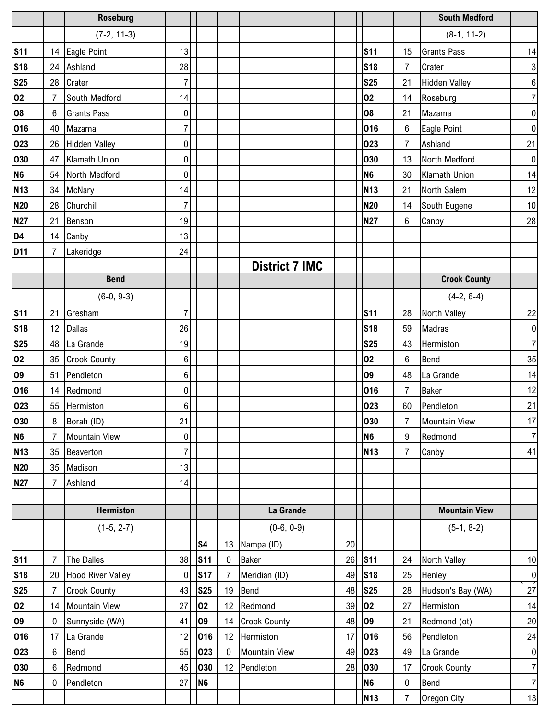|                |                 | <b>Roseburg</b>          |                |                 |              |                       |    |                      |                | <b>South Medford</b> |                |
|----------------|-----------------|--------------------------|----------------|-----------------|--------------|-----------------------|----|----------------------|----------------|----------------------|----------------|
|                |                 | $(7-2, 11-3)$            |                |                 |              |                       |    |                      |                | $(8-1, 11-2)$        |                |
| <b>S11</b>     |                 | 14 Eagle Point           | 13             |                 |              |                       |    | <b>S11</b>           | 15             | <b>Grants Pass</b>   | 14             |
| <b>S18</b>     |                 | 24 Ashland               | 28             |                 |              |                       |    | <b>S18</b>           | $\overline{7}$ | Crater               | $\mathbf{3}$   |
| <b>S25</b>     |                 | 28 Crater                | $\overline{7}$ |                 |              |                       |    | <b>S25</b>           | 21             | <b>Hidden Valley</b> | $\bf 6$        |
| 02             | $\overline{7}$  | South Medford            | 14             |                 |              |                       |    | 02                   | 14             | Roseburg             | $\overline{7}$ |
| 08             | $6\overline{6}$ | <b>Grants Pass</b>       | $\pmb{0}$      |                 |              |                       |    | 08                   | 21             | Mazama               | $\pmb{0}$      |
| 016            | 40              | Mazama                   | $\overline{7}$ |                 |              |                       |    | 016                  | 6              | Eagle Point          | $\pmb{0}$      |
| 023            | 26              | <b>Hidden Valley</b>     | 0              |                 |              |                       |    | 023                  | 7              | Ashland              | 21             |
| 030            | 47              | Klamath Union            | 0              |                 |              |                       |    | 030                  | 13             | North Medford        | $\pmb{0}$      |
| N <sub>6</sub> |                 | 54 North Medford         | $\mathbf 0$    |                 |              |                       |    | N <sub>6</sub>       | 30             | Klamath Union        | 14             |
| <b>N13</b>     |                 | 34 McNary                | 14             |                 |              |                       |    | <b>N13</b>           | 21             | North Salem          | 12             |
| <b>N20</b>     |                 | 28 Churchill             | 7              |                 |              |                       |    | <b>N20</b>           | 14             | South Eugene         | $10$           |
| <b>N27</b>     | 21              | Benson                   | 19             |                 |              |                       |    | <b>N27</b>           | 6              | Canby                | 28             |
| D4             |                 | 14 Canby                 | 13             |                 |              |                       |    |                      |                |                      |                |
| D11            | $\overline{7}$  | Lakeridge                | 24             |                 |              |                       |    |                      |                |                      |                |
|                |                 |                          |                |                 |              | <b>District 7 IMC</b> |    |                      |                |                      |                |
|                |                 | <b>Bend</b>              |                |                 |              |                       |    |                      |                | <b>Crook County</b>  |                |
|                |                 | $(6-0, 9-3)$             |                |                 |              |                       |    |                      |                | $(4-2, 6-4)$         |                |
| <b>S11</b>     | 21              | Gresham                  | $\overline{7}$ |                 |              |                       |    | <b>S11</b>           | 28             | North Valley         | 22             |
| <b>S18</b>     | 12 <sup>°</sup> | <b>Dallas</b>            | 26             |                 |              |                       |    | <b>S18</b>           | 59             | Madras               | $\pmb{0}$      |
| <b>S25</b>     |                 | 48 La Grande             | 19             |                 |              |                       |    | <b>S25</b>           | 43             | Hermiston            | $\overline{7}$ |
| 02             |                 | 35 Crook County          | 6              |                 |              |                       |    | 02                   | 6              | Bend                 | 35             |
| 09             | 51              | Pendleton                | 6              |                 |              |                       |    | 09                   | 48             | La Grande            | 14             |
| 016            |                 | 14 Redmond               | $\pmb{0}$      |                 |              |                       |    | 016                  | $\overline{7}$ | <b>Baker</b>         | 12             |
| 023            | 55              | Hermiston                | 6              |                 |              |                       |    | 023                  | 60             | Pendleton            | 21             |
| 030            | 8               | Borah (ID)               | 21             |                 |              |                       |    | 030                  | 7 <sup>7</sup> | Mountain View        | $17$           |
| <b>N6</b>      | $\overline{7}$  | <b>Mountain View</b>     | 0              |                 |              |                       |    | N <sub>6</sub>       | 9              | Redmond              | $\overline{7}$ |
| <b>N13</b>     | 35              | Beaverton                | $\overline{7}$ |                 |              |                       |    | <b>N13</b>           | $\overline{7}$ | Canby                | 41             |
| <b>N20</b>     | 35              | Madison                  | 13             |                 |              |                       |    |                      |                |                      |                |
| <b>N27</b>     | $\overline{7}$  | Ashland                  | 14             |                 |              |                       |    |                      |                |                      |                |
|                |                 |                          |                |                 |              |                       |    |                      |                |                      |                |
|                |                 | <b>Hermiston</b>         |                |                 |              | La Grande             |    |                      |                | <b>Mountain View</b> |                |
|                |                 | $(1-5, 2-7)$             |                |                 |              | $(0-6, 0-9)$          |    |                      |                | $(5-1, 8-2)$         |                |
|                |                 |                          |                | S <sub>4</sub>  |              | 13 Nampa (ID)         | 20 |                      |                |                      |                |
| <b>S11</b>     | 7               | The Dalles               | 38             | S <sub>11</sub> | $\mathbf{0}$ | <b>Baker</b>          | 26 | $\sqrt{\text{S}}$ 11 | 24             | North Valley         | 10             |
| <b>S18</b>     | 20              | <b>Hood River Valley</b> | $\mathbf 0$    | <b>S17</b>      | 7            | Meridian (ID)         | 49 | <b>S18</b>           | 25             | Henley               | $\pmb{0}$      |
| <b>S25</b>     | $\overline{7}$  | <b>Crook County</b>      | 43             | <b>S25</b>      | 19           | Bend                  | 48 | <b>S25</b>           | 28             | Hudson's Bay (WA)    | 27             |
| 02             | 14              | <b>Mountain View</b>     | 27             | 02              | 12           | Redmond               | 39 | 02                   | 27             | Hermiston            | 14             |
| 09             | $\mathbf 0$     | Sunnyside (WA)           | 41             | 09              |              | 14 Crook County       | 48 | 09                   | 21             | Redmond (ot)         | 20             |
| 016            | 17              | La Grande                | 12             | 016             |              | 12 Hermiston          | 17 | 016                  | 56             | Pendleton            | 24             |
| 023            | 6               | Bend                     | 55             | 023             | $\mathbf 0$  | <b>Mountain View</b>  | 49 | 023                  | 49             | La Grande            | $\pmb{0}$      |
| 030            | 6               | Redmond                  | 45             | 030             |              | 12 Pendleton          | 28 | 030                  | 17             | <b>Crook County</b>  | $\overline{7}$ |
| <b>N6</b>      | $\mathbf 0$     | Pendleton                | 27             | N <sub>6</sub>  |              |                       |    | N <sub>6</sub>       | 0              | Bend                 | $\overline{7}$ |
|                |                 |                          |                |                 |              |                       |    | <b>N13</b>           | $\overline{7}$ | Oregon City          | 13             |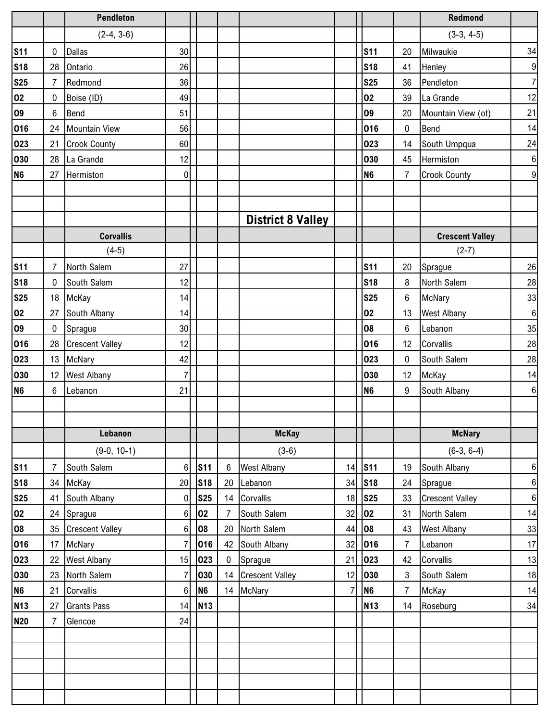|                 |                 | <b>Pendleton</b>       |                 |                      |          |                          |                |                |                | <b>Redmond</b>         |                  |
|-----------------|-----------------|------------------------|-----------------|----------------------|----------|--------------------------|----------------|----------------|----------------|------------------------|------------------|
|                 |                 | $(2-4, 3-6)$           |                 |                      |          |                          |                |                |                | $(3-3, 4-5)$           |                  |
| <b>S11</b>      | 0               | <b>Dallas</b>          | 30 <sup>1</sup> |                      |          |                          |                | <b>S11</b>     | 20             | Milwaukie              | 34               |
| <b>S18</b>      | 28              | Ontario                | 26              |                      |          |                          |                | <b>S18</b>     | 41             | Henley                 | $\boldsymbol{9}$ |
| <b>S25</b>      | $\overline{7}$  | Redmond                | 36              |                      |          |                          |                | <b>S25</b>     | 36             | Pendleton              | $\overline{7}$   |
| 02              | $\mathbf 0$     | Boise (ID)             | 49              |                      |          |                          |                | 02             | 39             | La Grande              | 12               |
| 09              | 6               | <b>Bend</b>            | 51              |                      |          |                          |                | 09             | 20             | Mountain View (ot)     | 21               |
| 016             | 24              | <b>Mountain View</b>   | 56              |                      |          |                          |                | 016            | 0              | Bend                   | 14               |
| 023             | 21              | <b>Crook County</b>    | 60              |                      |          |                          |                | 023            | 14             | South Umpqua           | 24               |
| 030             | 28              | La Grande              | 12              |                      |          |                          |                | 030            | 45             | Hermiston              | $\,6\,$          |
| N <sub>6</sub>  | 27              | Hermiston              | 0               |                      |          |                          |                | N <sub>6</sub> | 7              | <b>Crook County</b>    | $\overline{9}$   |
|                 |                 |                        |                 |                      |          |                          |                |                |                |                        |                  |
|                 |                 |                        |                 |                      |          |                          |                |                |                |                        |                  |
|                 |                 |                        |                 |                      |          | <b>District 8 Valley</b> |                |                |                |                        |                  |
|                 |                 | <b>Corvallis</b>       |                 |                      |          |                          |                |                |                | <b>Crescent Valley</b> |                  |
|                 |                 | $(4-5)$                |                 |                      |          |                          |                |                |                | $(2-7)$                |                  |
| <b>S11</b>      | $\overline{7}$  | North Salem            | 27              |                      |          |                          |                | <b>S11</b>     | 20             | Sprague                | 26               |
| <b>S18</b>      | $\mathbf 0$     | South Salem            | 12              |                      |          |                          |                | <b>S18</b>     | 8              | North Salem            | 28               |
| <b>S25</b>      | 18              | McKay                  | 14              |                      |          |                          |                | <b>S25</b>     | 6              | McNary                 | 33               |
| 02              | 27              | South Albany           | 14              |                      |          |                          |                | 02             | 13             | <b>West Albany</b>     | $\boldsymbol{6}$ |
| 09              | $\mathbf 0$     | Sprague                | 30 <sup>1</sup> |                      |          |                          |                | 08             | 6              | Lebanon                | 35               |
| 016             | 28              | <b>Crescent Valley</b> | 12              |                      |          |                          |                | 016            | 12             | Corvallis              | 28               |
| 023             | 13              | <b>McNary</b>          | 42              |                      |          |                          |                | 023            | 0              | South Salem            | 28               |
| 030             | 12 <sup>°</sup> | <b>West Albany</b>     | $\overline{7}$  |                      |          |                          |                | 030            | 12             | McKay                  | 14               |
| N <sub>6</sub>  | 6               | Lebanon                | 21              |                      |          |                          |                | N <sub>6</sub> | 9              | South Albany           | $\,6\,$          |
|                 |                 |                        |                 |                      |          |                          |                |                |                |                        |                  |
|                 |                 |                        |                 |                      |          |                          |                |                |                |                        |                  |
|                 |                 | Lebanon                |                 |                      |          | <b>McKay</b>             |                |                |                | <b>McNary</b>          |                  |
|                 |                 | $(9-0, 10-1)$          |                 |                      |          | $(3-6)$                  |                |                |                | $(6-3, 6-4)$           |                  |
| <b>S11</b>      | $\overline{7}$  | South Salem            | 6 <sup>1</sup>  | $\sqrt{\text{S}}$ 11 | 6        | <b>West Albany</b>       | 14             | <b>S11</b>     | 19             | South Albany           | $\,6\,$          |
| <b>S18</b>      | 34              | McKay                  | 20              | <b>S18</b>           | 20       | Lebanon                  | 34             | <b>S18</b>     | 24             | Sprague                | $\boldsymbol{6}$ |
| <b>S25</b>      | 41              | South Albany           | $\overline{0}$  | <b>S25</b>           | 14       | Corvallis                | 18             | <b>S25</b>     | 33             | <b>Crescent Valley</b> | $\,6$            |
| $\overline{02}$ | 24              | Sprague                | 6 <sup>1</sup>  | 02                   | 7        | South Salem              | 32             | 02             | 31             | North Salem            | 14               |
| 08              |                 | 35 Crescent Valley     | $6 \mid$        | 08                   | 20       | North Salem              | 44             | 08             | 43             | <b>West Albany</b>     | 33               |
| 016             | 17              | McNary                 | $\overline{7}$  | 016                  | 42       | South Albany             | 32             | 016            | $\overline{7}$ | Lebanon                | 17               |
| 023             | 22              | <b>West Albany</b>     | 15              | 023                  | $\bf{0}$ | Sprague                  | 21             | 023            | 42             | Corvallis              | 13               |
| 030             | 23              | North Salem            | $\overline{7}$  | 030                  |          | 14 Crescent Valley       | 12             | 030            | 3              | South Salem            | 18               |
| <b>N6</b>       | 21              | Corvallis              | 6 <sup>1</sup>  | N <sub>6</sub>       |          | 14 McNary                | $\overline{7}$ | N <sub>6</sub> | $\overline{7}$ | McKay                  | 14               |
| <b>N13</b>      | 27              | <b>Grants Pass</b>     | 14              | <b>N13</b>           |          |                          |                | <b>N13</b>     | 14             | Roseburg               | 34               |
| <b>N20</b>      | $\overline{7}$  | Glencoe                | 24              |                      |          |                          |                |                |                |                        |                  |
|                 |                 |                        |                 |                      |          |                          |                |                |                |                        |                  |
|                 |                 |                        |                 |                      |          |                          |                |                |                |                        |                  |
|                 |                 |                        |                 |                      |          |                          |                |                |                |                        |                  |
|                 |                 |                        |                 |                      |          |                          |                |                |                |                        |                  |
|                 |                 |                        |                 |                      |          |                          |                |                |                |                        |                  |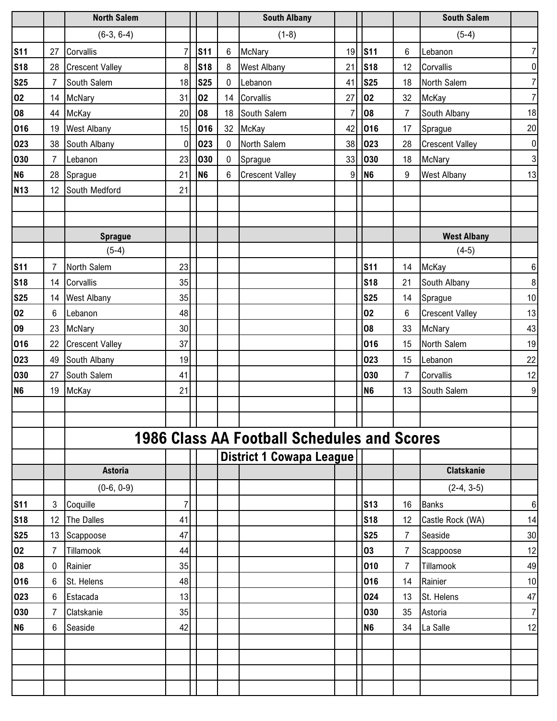|                          |                | <b>North Salem</b>     |                |                |                  | <b>South Albany</b>                                |                |                |                | <b>South Salem</b>     |                  |
|--------------------------|----------------|------------------------|----------------|----------------|------------------|----------------------------------------------------|----------------|----------------|----------------|------------------------|------------------|
|                          |                | $(6-3, 6-4)$           |                |                |                  | $(1-8)$                                            |                |                |                | $(5-4)$                |                  |
| <b>S11</b>               | 27             | Corvallis              | $\overline{7}$ | <b>S11</b>     | $\boldsymbol{6}$ | <b>McNary</b>                                      | 19             | <b>S11</b>     | 6              | Lebanon                | $\overline{7}$   |
| <b>S18</b>               | 28             | <b>Crescent Valley</b> | 8              | <b>S18</b>     | 8                | <b>West Albany</b>                                 | 21             | <b>S18</b>     | 12             | Corvallis              | $\pmb{0}$        |
| <b>S25</b>               | $\overline{7}$ | South Salem            | 18             | <b>S25</b>     | $\mathbf 0$      | Lebanon                                            | 41             | <b>S25</b>     | 18             | North Salem            | $\overline{7}$   |
| $\overline{\mathbf{02}}$ | 14             | McNary                 | 31             | 02             |                  | 14 Corvallis                                       | 27             | $ _{02}$       | 32             | McKay                  | $\overline{7}$   |
| 08                       | 44             | McKay                  | 20             | 08             | 18               | South Salem                                        | $\overline{7}$ | 08             | $\overline{7}$ | South Albany           | 18               |
| 016                      | 19             | <b>West Albany</b>     | 15             | 016            |                  | 32 McKay                                           | 42             | 016            | 17             | Sprague                | 20               |
| 023                      | 38             | South Albany           | $\overline{0}$ | 023            | $\mathbf 0$      | North Salem                                        | 38             | 023            | 28             | <b>Crescent Valley</b> | $\pmb{0}$        |
| 030                      | $\overline{7}$ | Lebanon                | 23             | 030            | $\mathbf 0$      | Sprague                                            | 33             | 030            | 18             | <b>McNary</b>          | $\overline{3}$   |
| <b>N6</b>                | 28             | Sprague                | 21             | N <sub>6</sub> | 6                | <b>Crescent Valley</b>                             | 9              | N <sub>6</sub> | 9              | <b>West Albany</b>     | 13               |
| <b>N13</b>               | 12             | South Medford          | 21             |                |                  |                                                    |                |                |                |                        |                  |
|                          |                |                        |                |                |                  |                                                    |                |                |                |                        |                  |
|                          |                |                        |                |                |                  |                                                    |                |                |                |                        |                  |
|                          |                | <b>Sprague</b>         |                |                |                  |                                                    |                |                |                | <b>West Albany</b>     |                  |
|                          |                | $(5-4)$                |                |                |                  |                                                    |                |                |                | $(4-5)$                |                  |
| <b>S11</b>               | $\overline{7}$ | North Salem            | 23             |                |                  |                                                    |                | <b>S11</b>     | 14             | McKay                  | $\boldsymbol{6}$ |
| <b>S18</b>               | 14             | Corvallis              | 35             |                |                  |                                                    |                | <b>S18</b>     | 21             | South Albany           | $\,8\,$          |
| <b>S25</b>               | 14             | <b>West Albany</b>     | 35             |                |                  |                                                    |                | <b>S25</b>     | 14             | Sprague                | 10               |
| 02                       | 6              | Lebanon                | 48             |                |                  |                                                    |                | 02             | 6              | <b>Crescent Valley</b> | 13               |
| 09                       | 23             | <b>McNary</b>          | 30             |                |                  |                                                    |                | 08             | 33             | McNary                 | 43               |
| 016                      | 22             | <b>Crescent Valley</b> | 37             |                |                  |                                                    |                | 016            | 15             | North Salem            | 19               |
| 023                      | 49             | South Albany           | 19             |                |                  |                                                    |                | 023            | 15             | Lebanon                | 22               |
| 030                      | 27             | South Salem            | 41             |                |                  |                                                    |                | 030            | $\overline{7}$ | Corvallis              | 12               |
| N <sub>6</sub>           | 19             | McKay                  | 21             |                |                  |                                                    |                | N <sub>6</sub> | 13             | South Salem            | $\boldsymbol{9}$ |
|                          |                |                        |                |                |                  |                                                    |                |                |                |                        |                  |
|                          |                |                        |                |                |                  |                                                    |                |                |                |                        |                  |
|                          |                |                        |                |                |                  | <b>1986 Class AA Football Schedules and Scores</b> |                |                |                |                        |                  |
|                          |                |                        |                |                |                  | <b>District 1 Cowapa League</b>                    |                |                |                |                        |                  |
|                          |                | <b>Astoria</b>         |                |                |                  |                                                    |                |                |                | <b>Clatskanie</b>      |                  |
|                          |                | $(0-6, 0-9)$           |                |                |                  |                                                    |                |                |                | $(2-4, 3-5)$           |                  |
| <b>S11</b>               | 3              | Coquille               | 7              |                |                  |                                                    |                | <b>S13</b>     | 16             | <b>Banks</b>           | $\boldsymbol{6}$ |
| <b>S18</b>               | 12             | The Dalles             | 41             |                |                  |                                                    |                | <b>S18</b>     | 12             | Castle Rock (WA)       | 14               |
| <b>S25</b>               | 13             | Scappoose              | 47             |                |                  |                                                    |                | <b>S25</b>     | 7              | Seaside                | 30               |
| 02                       | 7              | Tillamook              | 44             |                |                  |                                                    |                | 03             | 7              | Scappoose              | 12               |
| 08                       | 0              | Rainier                | 35             |                |                  |                                                    |                | 010            | 7              | Tillamook              | 49               |
| 016                      | 6              | St. Helens             | 48             |                |                  |                                                    |                | 016            | 14             | Rainier                | 10               |
| 023                      | 6              | Estacada               | 13             |                |                  |                                                    |                | 024            | 13             | St. Helens             | 47               |
| 030                      | 7              | Clatskanie             | 35             |                |                  |                                                    |                | 030            | 35             | Astoria                | $\overline{7}$   |
| <b>N6</b>                | 6              | Seaside                | 42             |                |                  |                                                    |                | <b>N6</b>      | 34             | La Salle               | 12               |
|                          |                |                        |                |                |                  |                                                    |                |                |                |                        |                  |
|                          |                |                        |                |                |                  |                                                    |                |                |                |                        |                  |
|                          |                |                        |                |                |                  |                                                    |                |                |                |                        |                  |
|                          |                |                        |                |                |                  |                                                    |                |                |                |                        |                  |
|                          |                |                        |                |                |                  |                                                    |                |                |                |                        |                  |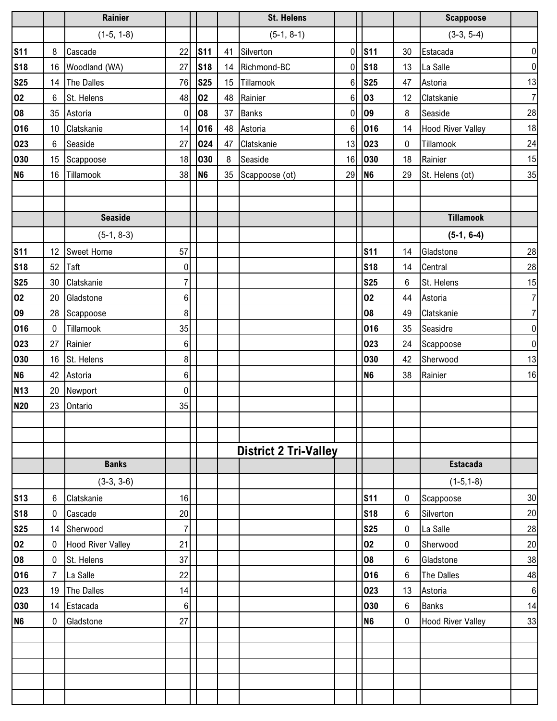|                          |                  | Rainier                  |                |                |    | <b>St. Helens</b>            |             |                |        | <b>Scappoose</b>         |                |
|--------------------------|------------------|--------------------------|----------------|----------------|----|------------------------------|-------------|----------------|--------|--------------------------|----------------|
|                          |                  | $(1-5, 1-8)$             |                |                |    | $(5-1, 8-1)$                 |             |                |        | $(3-3, 5-4)$             |                |
| <b>S11</b>               | 8                | Cascade                  | 22             | <b>S11</b>     | 41 | Silverton                    | 0           | <b>S11</b>     | 30     | Estacada                 | $\pmb{0}$      |
| <b>S18</b>               | 16               | Woodland (WA)            | 27             | <b>S18</b>     | 14 | Richmond-BC                  | 0           | <b>S18</b>     | 13     | La Salle                 | $\pmb{0}$      |
| <b>S25</b>               | 14               | The Dalles               | 76             | <b>S25</b>     | 15 | Tillamook                    | 6           | <b>S25</b>     | 47     | Astoria                  | 13             |
| 02                       | $6\overline{6}$  | St. Helens               | 48             | 02             | 48 | Rainier                      | 6           | 03             | 12     | Clatskanie               | $\overline{7}$ |
| 08                       |                  | 35 Astoria               | 0              | 08             | 37 | <b>Banks</b>                 | $\mathbf 0$ | 09             | 8      | Seaside                  | 28             |
| 016                      | 10 <sup>°</sup>  | Clatskanie               | 14             | 016            | 48 | Astoria                      | 6           | 016            | 14     | <b>Hood River Valley</b> | 18             |
| 023                      | 6                | Seaside                  | 27             | 024            | 47 | Clatskanie                   | 13          | 023            | 0      | Tillamook                | 24             |
| 030                      | 15               | Scappoose                | 18             | 030            | 8  | Seaside                      | 16          | 030            | 18     | Rainier                  | 15             |
| N <sub>6</sub>           | 16               | Tillamook                | 38             | N <sub>6</sub> | 35 | Scappoose (ot)               | 29          | N <sub>6</sub> | 29     | St. Helens (ot)          | 35             |
|                          |                  |                          |                |                |    |                              |             |                |        |                          |                |
|                          |                  |                          |                |                |    |                              |             |                |        |                          |                |
|                          |                  | <b>Seaside</b>           |                |                |    |                              |             |                |        | <b>Tillamook</b>         |                |
|                          |                  | $(5-1, 8-3)$             |                |                |    |                              |             |                |        | $(5-1, 6-4)$             |                |
| <b>S11</b>               |                  | 12 Sweet Home            | 57             |                |    |                              |             | <b>S11</b>     | 14     | Gladstone                | 28             |
| <b>S18</b>               |                  | $52$ Taft                | 0              |                |    |                              |             | <b>S18</b>     | 14     | Central                  | 28             |
| <b>S25</b>               | 30               | Clatskanie               | $\overline{7}$ |                |    |                              |             | <b>S25</b>     | 6      | St. Helens               | 15             |
| 02                       | 20               | Gladstone                | 6 <sup>1</sup> |                |    |                              |             | 02             | 44     | Astoria                  | $\overline{7}$ |
| 09                       | 28               | Scappoose                | 8 <sup>1</sup> |                |    |                              |             | 08             | 49     | Clatskanie               | $\overline{7}$ |
| 016                      | $\mathbf 0$      | Tillamook                | 35             |                |    |                              |             | 016            | 35     | Seasidre                 | $\pmb{0}$      |
| 023                      | 27               | Rainier                  | 6 <sup>1</sup> |                |    |                              |             | 023            | 24     | Scappoose                | $\pmb{0}$      |
| 030                      |                  | 16 St. Helens            | 8 <sup>1</sup> |                |    |                              |             | 030            | 42     | Sherwood                 | 13             |
| N <sub>6</sub>           |                  | 42 Astoria               | 6 <sup>1</sup> |                |    |                              |             | N <sub>6</sub> | 38     | Rainier                  | 16             |
| <b>N13</b>               | 20               | Newport                  | $\overline{0}$ |                |    |                              |             |                |        |                          |                |
| <b>N20</b>               | 23               | Ontario                  | 35             |                |    |                              |             |                |        |                          |                |
|                          |                  |                          |                |                |    |                              |             |                |        |                          |                |
|                          |                  |                          |                |                |    |                              |             |                |        |                          |                |
|                          |                  | <b>Banks</b>             |                |                |    | <b>District 2 Tri-Valley</b> |             |                |        | <b>Estacada</b>          |                |
|                          |                  | $(3-3, 3-6)$             |                |                |    |                              |             |                |        | $(1-5, 1-8)$             |                |
|                          |                  |                          |                |                |    |                              |             | <b>S11</b>     |        |                          | 30             |
| <b>S13</b><br><b>S18</b> | 6<br>$\mathbf 0$ | Clatskanie<br>Cascade    | 16<br>20       |                |    |                              |             | <b>S18</b>     | 0<br>6 | Scappoose<br>Silverton   | 20             |
| <b>S25</b>               | 14               | Sherwood                 | 7              |                |    |                              |             | <b>S25</b>     | 0      | La Salle                 | 28             |
| 02                       | 0                | <b>Hood River Valley</b> | 21             |                |    |                              |             | 02             | 0      | Sherwood                 | 20             |
| 08                       | $\mathbf 0$      | St. Helens               | 37             |                |    |                              |             | 08             | 6      | Gladstone                | 38             |
| 016                      | $\overline{7}$   | La Salle                 | 22             |                |    |                              |             | 016            | 6      | The Dalles               | 48             |
| 023                      | 19               | The Dalles               | 14             |                |    |                              |             | 023            | 13     | Astoria                  | $\,6$          |
| 030                      |                  | 14 Estacada              | 6 <sup>1</sup> |                |    |                              |             | 030            | 6      | <b>Banks</b>             | 14             |
| N <sub>6</sub>           | 0                | Gladstone                | 27             |                |    |                              |             | N <sub>6</sub> | 0      | <b>Hood River Valley</b> | 33             |
|                          |                  |                          |                |                |    |                              |             |                |        |                          |                |
|                          |                  |                          |                |                |    |                              |             |                |        |                          |                |
|                          |                  |                          |                |                |    |                              |             |                |        |                          |                |
|                          |                  |                          |                |                |    |                              |             |                |        |                          |                |
|                          |                  |                          |                |                |    |                              |             |                |        |                          |                |
|                          |                  |                          |                |                |    |                              |             |                |        |                          |                |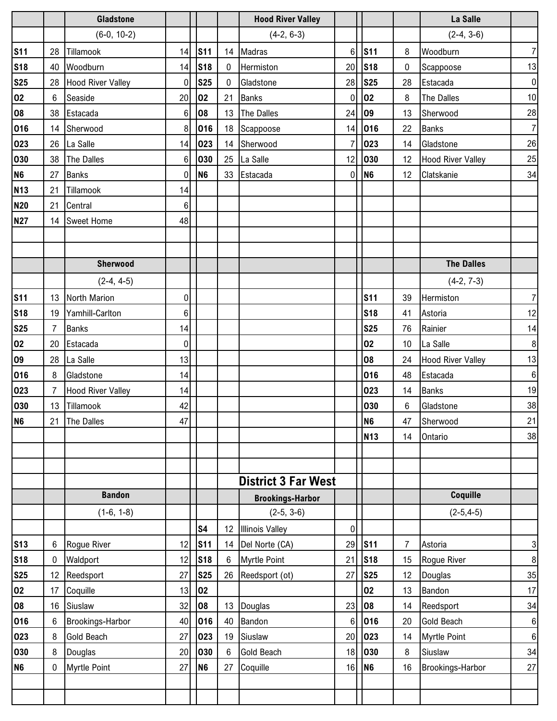|                |                 | <b>Gladstone</b>         |                |                |                  | <b>Hood River Valley</b>   |                 |                |                | La Salle                 |                  |
|----------------|-----------------|--------------------------|----------------|----------------|------------------|----------------------------|-----------------|----------------|----------------|--------------------------|------------------|
|                |                 | $(6-0, 10-2)$            |                |                |                  | $(4-2, 6-3)$               |                 |                |                | $(2-4, 3-6)$             |                  |
| <b>S11</b>     | 28              | Tillamook                | 14             | <b>S11</b>     |                  | 14 Madras                  | $6\phantom{1}6$ | <b>S11</b>     | 8              | Woodburn                 | $\overline{7}$   |
| <b>S18</b>     | 40              | Woodburn                 | 14             | <b>S18</b>     | $\boldsymbol{0}$ | Hermiston                  | 20              | <b>S18</b>     | 0              | Scappoose                | 13               |
| <b>S25</b>     |                 | 28 Hood River Valley     | $\mathbf 0$    | <b>S25</b>     | $\mathbf 0$      | Gladstone                  | 28              | <b>S25</b>     | 28             | Estacada                 | $\boldsymbol{0}$ |
| 02             | $6\overline{6}$ | Seaside                  | 20             | 02             | 21               | <b>Banks</b>               | $\mathbf 0$     | 02             | 8              | <b>The Dalles</b>        | 10               |
| 08             |                 | 38 Estacada              | 6              | 08             | 13               | The Dalles                 | 24              | $ 09\rangle$   | 13             | Sherwood                 | 28               |
| 016            |                 | 14 Sherwood              | 8              | 016            |                  | 18 Scappoose               | 14              | 016            | 22             | <b>Banks</b>             | $\overline{7}$   |
| 023            |                 | 26 La Salle              | 14             | 023            |                  | 14 Sherwood                | $\overline{7}$  | 023            | 14             | Gladstone                | 26               |
| 030            |                 | 38 The Dalles            | $6\phantom{.}$ | 030            |                  | 25 La Salle                | 12              | 030            | 12             | <b>Hood River Valley</b> | 25               |
| N <sub>6</sub> |                 | 27 Banks                 | $\mathbf 0$    | N <sub>6</sub> |                  | 33 Estacada                | $\overline{0}$  | N <sub>6</sub> | 12             | Clatskanie               | 34               |
| <b>N13</b>     | 21              | Tillamook                | 14             |                |                  |                            |                 |                |                |                          |                  |
| <b>N20</b>     | 21              | Central                  | 6              |                |                  |                            |                 |                |                |                          |                  |
| <b>N27</b>     | 14              | <b>Sweet Home</b>        | 48             |                |                  |                            |                 |                |                |                          |                  |
|                |                 |                          |                |                |                  |                            |                 |                |                |                          |                  |
|                |                 |                          |                |                |                  |                            |                 |                |                |                          |                  |
|                |                 | Sherwood                 |                |                |                  |                            |                 |                |                | <b>The Dalles</b>        |                  |
|                |                 | $(2-4, 4-5)$             |                |                |                  |                            |                 |                |                | $(4-2, 7-3)$             |                  |
| <b>S11</b>     |                 | 13 North Marion          | $\pmb{0}$      |                |                  |                            |                 | <b>S11</b>     | 39             | Hermiston                | $\overline{7}$   |
| <b>S18</b>     | 19              | Yamhill-Carlton          | 6              |                |                  |                            |                 | <b>S18</b>     | 41             | Astoria                  | 12               |
| <b>S25</b>     | $\overline{7}$  | <b>Banks</b>             | 14             |                |                  |                            |                 | <b>S25</b>     | 76             | Rainier                  | 14               |
| 02             | 20              | Estacada                 | 0              |                |                  |                            |                 | 02             | 10             | La Salle                 | 8                |
| 09             |                 | 28 La Salle              | 13             |                |                  |                            |                 | 08             | 24             | <b>Hood River Valley</b> | 13               |
| 016            | 8               | Gladstone                | 14             |                |                  |                            |                 | 016            | 48             | Estacada                 | $6\phantom{1}6$  |
| 023            | $\overline{7}$  | <b>Hood River Valley</b> | 14             |                |                  |                            |                 | 023            | 14             | <b>Banks</b>             | 19               |
| 030            | 13              | Tillamook                | 42             |                |                  |                            |                 | 030            | 6              | Gladstone                | 38               |
| N <sub>6</sub> |                 | 21 The Dalles            | 47             |                |                  |                            |                 | N <sub>6</sub> | 47             | Sherwood                 | 21               |
|                |                 |                          |                |                |                  |                            |                 | <b>N13</b>     | 14             | Ontario                  | 38               |
|                |                 |                          |                |                |                  |                            |                 |                |                |                          |                  |
|                |                 |                          |                |                |                  |                            |                 |                |                |                          |                  |
|                |                 |                          |                |                |                  | <b>District 3 Far West</b> |                 |                |                |                          |                  |
|                |                 | <b>Bandon</b>            |                |                |                  | <b>Brookings-Harbor</b>    |                 |                |                | Coquille                 |                  |
|                |                 | $(1-6, 1-8)$             |                |                |                  | $(2-5, 3-6)$               |                 |                |                | $(2-5, 4-5)$             |                  |
|                |                 |                          |                | S <sub>4</sub> | 12 <sup>12</sup> | <b>Illinois Valley</b>     | 0               |                |                |                          |                  |
| <b>S13</b>     | 6               | Rogue River              | 12             | <b>S11</b>     | 14               | Del Norte (CA)             | 29              | <b>S11</b>     | $\overline{7}$ | Astoria                  | 3                |
| <b>S18</b>     | 0               | Waldport                 | 12             | <b>S18</b>     | 6                | Myrtle Point               | 21              | <b>S18</b>     | 15             | Rogue River              | 8                |
| <b>S25</b>     | 12              | Reedsport                | 27             | <b>S25</b>     | 26               | Reedsport (ot)             | 27              | <b>S25</b>     | 12             | Douglas                  | 35               |
| 02             | 17              | Coquille                 | 13             | 02             |                  |                            |                 | 02             | 13             | Bandon                   | 17               |
| 08             | 16              | Siuslaw                  | 32             | 08             | 13               | Douglas                    | 23              | 08             | 14             | Reedsport                | 34               |
| 016            | 6               | Brookings-Harbor         | 40             | 016            | 40               | Bandon                     | $6\phantom{1}6$ | 016            | 20             | <b>Gold Beach</b>        | $6\phantom{1}6$  |
| 023            | 8               | <b>Gold Beach</b>        | 27             | 023            | 19               | Siuslaw                    | 20              | 023            | 14             | <b>Myrtle Point</b>      | $6\phantom{1}6$  |
| 030            | 8               | Douglas                  | 20             | 030            | 6                | <b>Gold Beach</b>          | 18              | 030            | 8              | Siuslaw                  | 34               |
| N <sub>6</sub> | 0               | <b>Myrtle Point</b>      | 27             | N <sub>6</sub> | 27               | Coquille                   | 16              | N <sub>6</sub> | 16             | Brookings-Harbor         | 27               |
|                |                 |                          |                |                |                  |                            |                 |                |                |                          |                  |
|                |                 |                          |                |                |                  |                            |                 |                |                |                          |                  |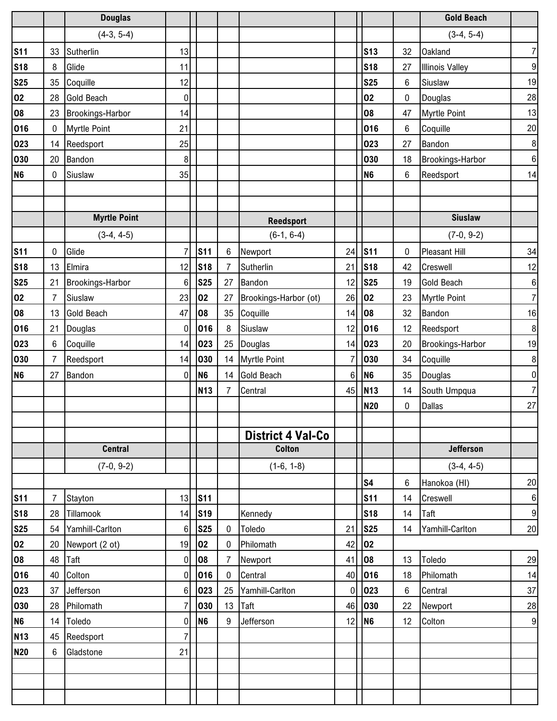|                |                | <b>Douglas</b>          |                |                |                |                          |                |                |    | <b>Gold Beach</b>      |                  |
|----------------|----------------|-------------------------|----------------|----------------|----------------|--------------------------|----------------|----------------|----|------------------------|------------------|
|                |                | $(4-3, 5-4)$            |                |                |                |                          |                |                |    | $(3-4, 5-4)$           |                  |
| <b>S11</b>     | 33             | Sutherlin               | 13             |                |                |                          |                | <b>S13</b>     | 32 | <b>Oakland</b>         | $\overline{7}$   |
| <b>S18</b>     | 8              | Glide                   | 11             |                |                |                          |                | <b>S18</b>     | 27 | <b>Illinois Valley</b> | $\boldsymbol{9}$ |
| <b>S25</b>     | 35             | Coquille                | 12             |                |                |                          |                | <b>S25</b>     | 6  | Siuslaw                | 19               |
| 02             | 28             | <b>Gold Beach</b>       | 0              |                |                |                          |                | 02             | 0  | Douglas                | 28               |
| 08             | 23             | Brookings-Harbor        | 14             |                |                |                          |                | 08             | 47 | <b>Myrtle Point</b>    | 13               |
| 016            | $\mathbf 0$    | <b>Myrtle Point</b>     | 21             |                |                |                          |                | 016            | 6  | Coquille               | 20               |
| 023            | 14             | Reedsport               | 25             |                |                |                          |                | 023            | 27 | Bandon                 | $\,$ 8 $\,$      |
| 030            | 20             | Bandon                  | 8              |                |                |                          |                | 030            | 18 | Brookings-Harbor       | $\,6\,$          |
| N <sub>6</sub> | $\mathbf 0$    | Siuslaw                 | 35             |                |                |                          |                | N <sub>6</sub> | 6  | Reedsport              | 14               |
|                |                |                         |                |                |                |                          |                |                |    |                        |                  |
|                |                |                         |                |                |                |                          |                |                |    |                        |                  |
|                |                | <b>Myrtle Point</b>     |                |                |                | <b>Reedsport</b>         |                |                |    | <b>Siuslaw</b>         |                  |
|                |                | $(3-4, 4-5)$            |                |                |                | $(6-1, 6-4)$             |                |                |    | $(7-0, 9-2)$           |                  |
| <b>S11</b>     | $\pmb{0}$      | Glide                   | $\overline{7}$ | <b>S11</b>     | 6              | Newport                  | 24             | <b>S11</b>     | 0  | Pleasant Hill          | 34               |
| <b>S18</b>     | 13             | Elmira                  | 12             | <b>S18</b>     | 7              | Sutherlin                | 21             | <b>S18</b>     | 42 | Creswell               | 12               |
| <b>S25</b>     | 21             | <b>Brookings-Harbor</b> | 6              | <b>S25</b>     | 27             | Bandon                   | 12             | <b>S25</b>     | 19 | Gold Beach             | $\,6\,$          |
| 02             | 7              | Siuslaw                 | 23             | 02             | 27             | Brookings-Harbor (ot)    | 26             | 02             | 23 | <b>Myrtle Point</b>    | $\overline{7}$   |
| 08             | 13             | <b>Gold Beach</b>       | 47             | 08             | 35             | Coquille                 | 14             | 08             | 32 | Bandon                 | 16               |
| 016            | 21             | Douglas                 | 0              | 016            | 8              | Siuslaw                  | 12             | 016            | 12 | Reedsport              | $\,$ 8 $\,$      |
| 023            | $6\phantom{a}$ | Coquille                | 14             | 023            | 25             | Douglas                  | 14             | 023            | 20 | Brookings-Harbor       | 19               |
| 030            | $\overline{7}$ | Reedsport               | 14             | 030            |                | 14 Myrtle Point          | $\overline{7}$ | 030            | 34 | Coquille               | $\, 8$           |
| N <sub>6</sub> | 27             | Bandon                  | 0              | N <sub>6</sub> | 14             | Gold Beach               | $6\phantom{1}$ | N <sub>6</sub> | 35 | Douglas                | $\pmb{0}$        |
|                |                |                         |                | <b>N13</b>     | $\overline{7}$ | Central                  | 45             | <b>N13</b>     | 14 | South Umpqua           | $\overline{7}$   |
|                |                |                         |                |                |                |                          |                | <b>N20</b>     | 0  | Dallas                 | 27               |
|                |                |                         |                |                |                |                          |                |                |    |                        |                  |
|                |                |                         |                |                |                | <b>District 4 Val-Co</b> |                |                |    |                        |                  |
|                |                | <b>Central</b>          |                |                |                | <b>Colton</b>            |                |                |    | <b>Jefferson</b>       |                  |
|                |                | $(7-0, 9-2)$            |                |                |                | $(1-6, 1-8)$             |                |                |    | $(3-4, 4-5)$           |                  |
|                |                |                         |                |                |                |                          |                | S <sub>4</sub> | 6  | Hanokoa (HI)           | 20               |
| <b>S11</b>     | $\overline{7}$ | Stayton                 | 13             | <b>S11</b>     |                |                          |                | <b>S11</b>     | 14 | Creswell               | $\,6\,$          |
| <b>S18</b>     | 28             | Tillamook               | 14             | <b>S19</b>     |                | Kennedy                  |                | <b>S18</b>     | 14 | <b>Taft</b>            | $\boldsymbol{9}$ |
| <b>S25</b>     | 54             | Yamhill-Carlton         | 6              | <b>S25</b>     | $\bf{0}$       | Toledo                   | 21             | <b>S25</b>     | 14 | Yamhill-Carlton        | 20               |
| 02             | 20             | Newport (2 ot)          | 19             | 02             | 0              | Philomath                | 42             | 02             |    |                        |                  |
| 08             | 48             | Taft                    | 0              | 08             | 7              | Newport                  | 41             | 08             | 13 | Toledo                 | 29               |
| 016            | 40             | Colton                  | $\overline{0}$ | 016            | 0              | Central                  | 40             | 016            | 18 | Philomath              | 14               |
| 023            | 37             | Jefferson               | 6              | 023            | 25             | Yamhill-Carlton          | 0              | 023            | 6  | Central                | 37               |
| 030            | 28             | Philomath               | $\overline{7}$ | 030            | 13             | Taft                     | 46             | 030            | 22 | Newport                | 28               |
| <b>N6</b>      | 14             | Toledo                  | 0              | N <sub>6</sub> | 9              | Jefferson                | 12             | N <sub>6</sub> | 12 | Colton                 | $9\,$            |
| <b>N13</b>     | 45             | Reedsport               | 7              |                |                |                          |                |                |    |                        |                  |
| <b>N20</b>     | 6              | Gladstone               | 21             |                |                |                          |                |                |    |                        |                  |
|                |                |                         |                |                |                |                          |                |                |    |                        |                  |
|                |                |                         |                |                |                |                          |                |                |    |                        |                  |
|                |                |                         |                |                |                |                          |                |                |    |                        |                  |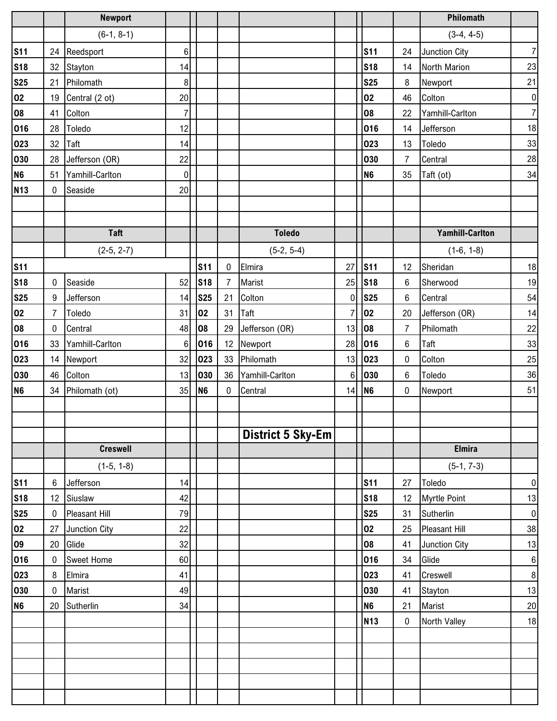|                |                | <b>Newport</b>    |                 |                 |             |                          |                |                |                | Philomath              |                  |
|----------------|----------------|-------------------|-----------------|-----------------|-------------|--------------------------|----------------|----------------|----------------|------------------------|------------------|
|                |                | $(6-1, 8-1)$      |                 |                 |             |                          |                |                |                | $(3-4, 4-5)$           |                  |
| <b>S11</b>     | 24             | Reedsport         | $\,6$           |                 |             |                          |                | <b>S11</b>     | 24             | Junction City          | $\overline{7}$   |
| <b>S18</b>     |                | 32 Stayton        | 14              |                 |             |                          |                | <b>S18</b>     | 14             | North Marion           | 23               |
| <b>S25</b>     |                | 21 Philomath      | 8               |                 |             |                          |                | <b>S25</b>     | 8              | Newport                | 21               |
| 02             | 19             | Central (2 ot)    | 20              |                 |             |                          |                | 02             | 46             | Colton                 | $\boldsymbol{0}$ |
| 08             | 41             | Colton            | $\overline{7}$  |                 |             |                          |                | 08             | 22             | Yamhill-Carlton        | $\overline{7}$   |
| 016            | 28             | Toledo            | 12              |                 |             |                          |                | 016            | 14             | Jefferson              | 18               |
| 023            | 32             | Taft              | 14              |                 |             |                          |                | 023            | 13             | Toledo                 | 33               |
| 030            | 28             | Jefferson (OR)    | 22              |                 |             |                          |                | 030            | $\overline{7}$ | Central                | 28               |
| N <sub>6</sub> | 51             | Yamhill-Carlton   | $\pmb{0}$       |                 |             |                          |                | N <sub>6</sub> | 35             | Taft (ot)              | 34               |
| <b>N13</b>     | $\mathbf 0$    | Seaside           | 20              |                 |             |                          |                |                |                |                        |                  |
|                |                |                   |                 |                 |             |                          |                |                |                |                        |                  |
|                |                |                   |                 |                 |             |                          |                |                |                |                        |                  |
|                |                | <b>Taft</b>       |                 |                 |             | <b>Toledo</b>            |                |                |                | <b>Yamhill-Carlton</b> |                  |
|                |                | $(2-5, 2-7)$      |                 |                 |             | $(5-2, 5-4)$             |                |                |                | $(1-6, 1-8)$           |                  |
| <b>S11</b>     |                |                   |                 | S <sub>11</sub> | $\mathbf 0$ | Elmira                   | 27             | <b>S11</b>     | 12             | Sheridan               | 18               |
| <b>S18</b>     | $\mathbf 0$    | Seaside           | 52              | <b>S18</b>      | 7           | Marist                   | 25             | <b>S18</b>     | 6              | Sherwood               | 19               |
| <b>S25</b>     | 9              | Jefferson         | 14              | <b>S25</b>      | 21          | Colton                   | 0              | <b>S25</b>     | 6              | Central                | 54               |
| 02             | $\overline{7}$ | Toledo            | 31              | 02              | 31          | Taft                     | $\overline{7}$ | 02             | 20             | Jefferson (OR)         | 14               |
| 08             | $\mathbf 0$    | Central           | 48              | 08              | 29          | Jefferson (OR)           | 13             | 08             | $\overline{7}$ | Philomath              | 22               |
| 016            | 33             | Yamhill-Carlton   | $6\phantom{1}6$ | 016             | 12          | Newport                  | 28             | 016            | $6\phantom{1}$ | Taft                   | 33               |
| 023            |                | 14 Newport        | 32              | 023             |             | 33 Philomath             | 13             | 023            | 0              | Colton                 | 25               |
| 030            | 46             | Colton            | 13              | 030             | 36          | Yamhill-Carlton          | 6              | 030            | 6              | Toledo                 | 36               |
| N <sub>6</sub> | 34             | Philomath (ot)    | 35              | N <sub>6</sub>  | $\mathbf 0$ | Central                  | 14             | N <sub>6</sub> | 0              | Newport                | 51               |
|                |                |                   |                 |                 |             |                          |                |                |                |                        |                  |
|                |                |                   |                 |                 |             |                          |                |                |                |                        |                  |
|                |                |                   |                 |                 |             | <b>District 5 Sky-Em</b> |                |                |                |                        |                  |
|                |                | <b>Creswell</b>   |                 |                 |             |                          |                |                |                | <b>Elmira</b>          |                  |
|                |                | $(1-5, 1-8)$      |                 |                 |             |                          |                |                |                | $(5-1, 7-3)$           |                  |
| <b>S11</b>     | 6              | Jefferson         | 14              |                 |             |                          |                | <b>S11</b>     | 27             | Toledo                 | $\pmb{0}$        |
| <b>S18</b>     | 12             | Siuslaw           | 42              |                 |             |                          |                | <b>S18</b>     | 12             | Myrtle Point           | 13               |
| <b>S25</b>     | $\mathbf 0$    | Pleasant Hill     | 79              |                 |             |                          |                | <b>S25</b>     | 31             | Sutherlin              | $\pmb{0}$        |
| 02             | 27             | Junction City     | 22              |                 |             |                          |                | 02             | 25             | <b>Pleasant Hill</b>   | 38               |
| 09             | 20             | Glide             | 32              |                 |             |                          |                | 08             | 41             | Junction City          | $13\,$           |
| 016            | $\mathbf 0$    | <b>Sweet Home</b> | 60              |                 |             |                          |                | 016            | 34             | Glide                  | $\,6\,$          |
| 023            | 8              | Elmira            | 41              |                 |             |                          |                | 023            | 41             | Creswell               | $\bf 8$          |
| 030            | $\mathbf 0$    | Marist            | 49              |                 |             |                          |                | 030            | 41             | Stayton                | 13               |
| N <sub>6</sub> | 20             | Sutherlin         | 34              |                 |             |                          |                | N <sub>6</sub> | 21             | Marist                 | 20               |
|                |                |                   |                 |                 |             |                          |                | <b>N13</b>     | 0              | North Valley           | 18               |
|                |                |                   |                 |                 |             |                          |                |                |                |                        |                  |
|                |                |                   |                 |                 |             |                          |                |                |                |                        |                  |
|                |                |                   |                 |                 |             |                          |                |                |                |                        |                  |
|                |                |                   |                 |                 |             |                          |                |                |                |                        |                  |
|                |                |                   |                 |                 |             |                          |                |                |                |                        |                  |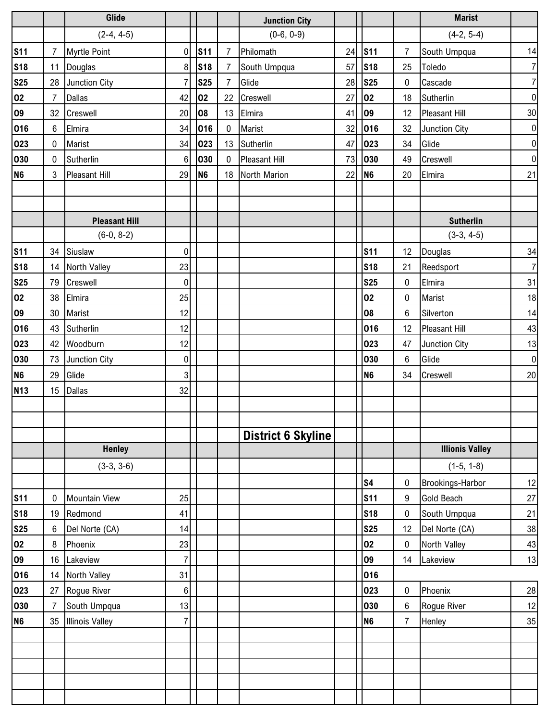|                |                | Glide                  |                |                |                | <b>Junction City</b> |    |                |                 | <b>Marist</b>          |                |
|----------------|----------------|------------------------|----------------|----------------|----------------|----------------------|----|----------------|-----------------|------------------------|----------------|
|                |                | $(2-4, 4-5)$           |                |                |                | $(0-6, 0-9)$         |    |                |                 | $(4-2, 5-4)$           |                |
| <b>S11</b>     | $\overline{7}$ | <b>Myrtle Point</b>    | $\overline{0}$ | <b>S11</b>     | 7              | Philomath            | 24 | <b>S11</b>     | 7               | South Umpqua           | 14             |
| <b>S18</b>     | 11             | Douglas                | 8 <sup>1</sup> | <b>S18</b>     | 7              | South Umpqua         | 57 | <b>S18</b>     | 25              | Toledo                 | $\overline{7}$ |
| <b>S25</b>     | 28             | Junction City          | $\overline{7}$ | <b>S25</b>     | $\overline{7}$ | Glide                | 28 | <b>S25</b>     | 0               | Cascade                | $\overline{7}$ |
| 02             | $\overline{7}$ | <b>Dallas</b>          | 42             | 02             | 22             | Creswell             | 27 | 02             | 18              | Sutherlin              | $\pmb{0}$      |
| 09             | 32             | Creswell               | 20             | 08             | 13             | Elmira               | 41 | 09             | 12              | Pleasant Hill          | 30             |
| 016            | 6              | Elmira                 | 34             | 016            | $\mathbf 0$    | Marist               | 32 | 016            | 32              | Junction City          | $\pmb{0}$      |
| 023            | 0              | Marist                 | 34             | 023            | 13             | Sutherlin            | 47 | 023            | 34              | Glide                  | $\pmb{0}$      |
| 030            | $\mathbf 0$    | Sutherlin              | 6 <sup>1</sup> | 030            | $\mathbf 0$    | <b>Pleasant Hill</b> | 73 | 030            | 49              | Creswell               | $\pmb{0}$      |
| N <sub>6</sub> | $\mathbf{3}$   | <b>Pleasant Hill</b>   | 29             | N <sub>6</sub> | 18             | North Marion         | 22 | N <sub>6</sub> | 20              | Elmira                 | 21             |
|                |                |                        |                |                |                |                      |    |                |                 |                        |                |
|                |                |                        |                |                |                |                      |    |                |                 |                        |                |
|                |                | <b>Pleasant Hill</b>   |                |                |                |                      |    |                |                 | <b>Sutherlin</b>       |                |
|                |                | $(6-0, 8-2)$           |                |                |                |                      |    |                |                 | $(3-3, 4-5)$           |                |
| <b>S11</b>     |                | 34 Siuslaw             | $\overline{0}$ |                |                |                      |    | <b>S11</b>     | 12 <sup>2</sup> | Douglas                | 34             |
| <b>S18</b>     |                | 14 North Valley        | 23             |                |                |                      |    | <b>S18</b>     | 21              | Reedsport              | $\overline{7}$ |
| <b>S25</b>     | 79             | Creswell               | $\overline{0}$ |                |                |                      |    | <b>S25</b>     | $\pmb{0}$       | Elmira                 | 31             |
| 02             | 38             | Elmira                 | 25             |                |                |                      |    | 02             | 0               | Marist                 | 18             |
| 09             | 30             | <b>Marist</b>          | 12             |                |                |                      |    | 08             | 6               | Silverton              | 14             |
| 016            | 43             | Sutherlin              | 12             |                |                |                      |    | 016            | 12              | Pleasant Hill          | 43             |
| 023            | 42             | Woodburn               | 12             |                |                |                      |    | 023            | 47              | Junction City          | 13             |
| 030            | 73             | Junction City          | 0              |                |                |                      |    | 030            | 6               | Glide                  | $\pmb{0}$      |
| N <sub>6</sub> | 29             | Glide                  | 3 <sup>1</sup> |                |                |                      |    | N <sub>6</sub> | 34              | Creswell               | 20             |
| <b>N13</b>     | 15             | <b>Dallas</b>          | 32             |                |                |                      |    |                |                 |                        |                |
|                |                |                        |                |                |                |                      |    |                |                 |                        |                |
|                |                |                        |                |                |                |                      |    |                |                 |                        |                |
|                |                |                        |                |                |                | District 6 Skyline   |    |                |                 |                        |                |
|                |                | <b>Henley</b>          |                |                |                |                      |    |                |                 | <b>Illionis Valley</b> |                |
|                |                | $(3-3, 3-6)$           |                |                |                |                      |    |                |                 | $(1-5, 1-8)$           |                |
|                |                |                        |                |                |                |                      |    | S <sub>4</sub> | 0               | Brookings-Harbor       | 12             |
| <b>S11</b>     | 0              | <b>Mountain View</b>   | 25             |                |                |                      |    | <b>S11</b>     | 9               | <b>Gold Beach</b>      | $27\,$         |
| <b>S18</b>     | 19             | Redmond                | 41             |                |                |                      |    | <b>S18</b>     | 0               | South Umpqua           | 21             |
| <b>S25</b>     | 6              | Del Norte (CA)         | 14             |                |                |                      |    | <b>S25</b>     | 12              | Del Norte (CA)         | 38             |
| 02             | 8              | Phoenix                | 23             |                |                |                      |    | 02             | 0               | North Valley           | $43\,$         |
| 09             | 16             | Lakeview               | $\overline{7}$ |                |                |                      |    | 09             | 14              | Lakeview               | 13             |
| 016            | 14             | <b>North Valley</b>    | 31             |                |                |                      |    | 016            |                 |                        |                |
| 023            | 27             | Rogue River            | 6              |                |                |                      |    | 023            | 0               | Phoenix                | $28\,$         |
| 030            | $\overline{7}$ | South Umpqua           | 13             |                |                |                      |    | 030            | 6               | Rogue River            | 12             |
| N <sub>6</sub> | 35             | <b>Illinois Valley</b> | $\overline{7}$ |                |                |                      |    | N <sub>6</sub> | $\overline{7}$  | Henley                 | 35             |
|                |                |                        |                |                |                |                      |    |                |                 |                        |                |
|                |                |                        |                |                |                |                      |    |                |                 |                        |                |
|                |                |                        |                |                |                |                      |    |                |                 |                        |                |
|                |                |                        |                |                |                |                      |    |                |                 |                        |                |
|                |                |                        |                |                |                |                      |    |                |                 |                        |                |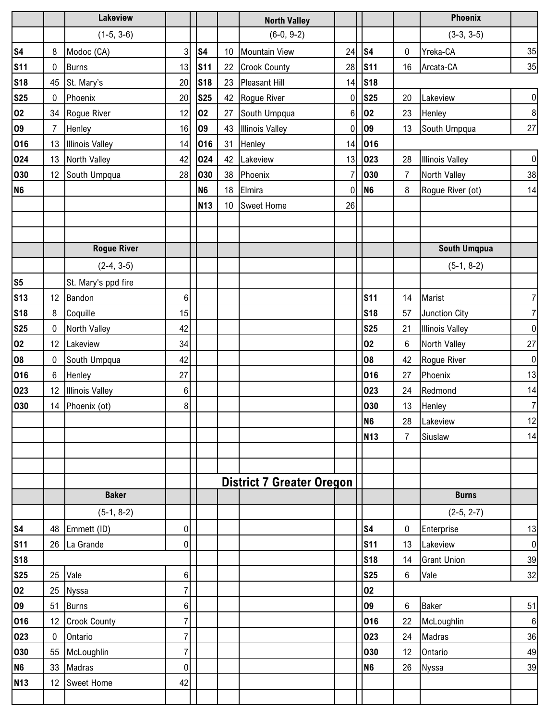|                          |                | <b>Lakeview</b>        |                            |                |                 | <b>North Valley</b>              |                  |                          |                | Phoenix                        |                |
|--------------------------|----------------|------------------------|----------------------------|----------------|-----------------|----------------------------------|------------------|--------------------------|----------------|--------------------------------|----------------|
|                          |                | $(1-5, 3-6)$           |                            |                |                 | $(6-0, 9-2)$                     |                  |                          |                | $(3-3, 3-5)$                   |                |
| <b>S4</b>                | 8              | Modoc (CA)             | $\mathbf{3}$               | <b>S4</b>      |                 | 10 Mountain View                 | 24               | S <sub>4</sub>           | 0              | Yreka-CA                       | 35             |
| <b>S11</b>               | 0              | <b>Burns</b>           | 13                         | <b>S11</b>     | 22              | <b>Crook County</b>              | 28               | <b>S11</b>               | 16             | Arcata-CA                      | 35             |
| <b>S18</b>               | 45             | St. Mary's             | 20                         | <b>S18</b>     | 23              | <b>Pleasant Hill</b>             | 14               | <b>S18</b>               |                |                                |                |
| <b>S25</b>               | $\mathbf 0$    | Phoenix                | 20                         | <b>S25</b>     | 42              | Rogue River                      | $\boldsymbol{0}$ | <b>S25</b>               | 20             | Lakeview                       | $\pmb{0}$      |
| 02                       | 34             | Rogue River            | 12                         | 02             | 27              | South Umpqua                     | 6                | 02                       | 23             | Henley                         | $\, 8$         |
| 09                       | $\overline{7}$ | Henley                 | 16                         | 09             | 43              | <b>Illinois Valley</b>           | $\mathbf 0$      | 09                       | 13             | South Umpqua                   | 27             |
| 016                      | 13             | <b>Illinois Valley</b> | 14                         | 016            | 31              | Henley                           | 14               | 016                      |                |                                |                |
| 024                      | 13             | North Valley           | 42                         | 024            | 42              | Lakeview                         | 13               | 023                      | 28             | <b>Illinois Valley</b>         | $\pmb{0}$      |
| 030                      | 12             | South Umpqua           | 28                         | 030            | 38              | Phoenix                          | $\overline{7}$   | 030                      | $\overline{7}$ | North Valley                   | 38             |
| <b>N6</b>                |                |                        |                            | N <sub>6</sub> | 18              | Elmira                           | $\mathbf 0$      | N <sub>6</sub>           | 8              | Rogue River (ot)               | 14             |
|                          |                |                        |                            | <b>N13</b>     | 10 <sup>1</sup> | Sweet Home                       | 26               |                          |                |                                |                |
|                          |                |                        |                            |                |                 |                                  |                  |                          |                |                                |                |
|                          |                |                        |                            |                |                 |                                  |                  |                          |                |                                |                |
|                          |                | <b>Rogue River</b>     |                            |                |                 |                                  |                  |                          |                | South Umqpua                   |                |
|                          |                | $(2-4, 3-5)$           |                            |                |                 |                                  |                  |                          |                | $(5-1, 8-2)$                   |                |
| <b>S5</b>                |                | St. Mary's ppd fire    |                            |                |                 |                                  |                  |                          |                |                                |                |
| <b>S13</b>               | 12             | Bandon                 | $\boldsymbol{6}$           |                |                 |                                  |                  | <b>S11</b>               | 14             | Marist                         | $\overline{7}$ |
| <b>S18</b>               | 8              | Coquille               | 15                         |                |                 |                                  |                  | <b>S18</b>               | 57             | Junction City                  | $\overline{7}$ |
| <b>S25</b>               | 0              | North Valley           | 42                         |                |                 |                                  |                  | <b>S25</b>               | 21             | <b>Illinois Valley</b>         | $\pmb{0}$      |
| 02                       | 12             | Lakeview               | 34                         |                |                 |                                  |                  | 02                       | 6              | North Valley                   | 27             |
| 08                       | $\pmb{0}$      | South Umpqua           | 42                         |                |                 |                                  |                  | 08                       | 42             | Rogue River                    | $\pmb{0}$      |
| 016                      | $6\phantom{.}$ | Henley                 | 27                         |                |                 |                                  |                  | 016                      | 27             | Phoenix                        | 13             |
| 023                      | 12             | <b>Illinois Valley</b> | $\,6\,$                    |                |                 |                                  |                  | 023                      | 24             | Redmond                        | 14             |
| 030                      | 14             | Phoenix (ot)           | 8 <sup>1</sup>             |                |                 |                                  |                  | 030                      | 13             | Henley                         | $\overline{7}$ |
|                          |                |                        |                            |                |                 |                                  |                  | N <sub>6</sub>           | 28             | Lakeview                       | 12             |
|                          |                |                        |                            |                |                 |                                  |                  | <b>N13</b>               | $\overline{7}$ | Siuslaw                        | 14             |
|                          |                |                        |                            |                |                 |                                  |                  |                          |                |                                |                |
|                          |                |                        |                            |                |                 |                                  |                  |                          |                |                                |                |
|                          |                | <b>Baker</b>           |                            |                |                 | <b>District 7 Greater Oregon</b> |                  |                          |                | <b>Burns</b>                   |                |
|                          |                | $(5-1, 8-2)$           |                            |                |                 |                                  |                  |                          |                |                                |                |
|                          |                |                        |                            |                |                 |                                  |                  |                          |                | $(2-5, 2-7)$                   |                |
| <b>S4</b>                | 48             | Emmett (ID)            | $\overline{0}$             |                |                 |                                  |                  | S <sub>4</sub>           | 0              | Enterprise                     | 13             |
| <b>S11</b><br><b>S18</b> | 26             | La Grande              | $\overline{0}$             |                |                 |                                  |                  | <b>S11</b><br><b>S18</b> | 13<br>14       | Lakeview<br><b>Grant Union</b> | $\pmb{0}$      |
|                          | 25             | Vale                   |                            |                |                 |                                  |                  | <b>S25</b>               |                | Vale                           | 39             |
| <b>S25</b><br>02         | 25             | <b>Nyssa</b>           | $6\vert$<br>$\overline{7}$ |                |                 |                                  |                  | 02                       | 6              |                                | 32             |
| 09                       | 51             | <b>Burns</b>           | $\boldsymbol{6}$           |                |                 |                                  |                  | 09                       | 6              | <b>Baker</b>                   | 51             |
| 016                      | 12             | <b>Crook County</b>    | 7                          |                |                 |                                  |                  | 016                      | 22             | McLoughlin                     | $\,6$          |
| 023                      | $\pmb{0}$      | Ontario                | 7                          |                |                 |                                  |                  | 023                      | 24             | Madras                         | 36             |
| 030                      | 55             | McLoughlin             | 7                          |                |                 |                                  |                  | 030                      | 12             | Ontario                        | 49             |
| N <sub>6</sub>           | 33             | Madras                 | 0                          |                |                 |                                  |                  | N <sub>6</sub>           | 26             | <b>Nyssa</b>                   | 39             |
| <b>N13</b>               | 12             | Sweet Home             | 42                         |                |                 |                                  |                  |                          |                |                                |                |
|                          |                |                        |                            |                |                 |                                  |                  |                          |                |                                |                |
|                          |                |                        |                            |                |                 |                                  |                  |                          |                |                                |                |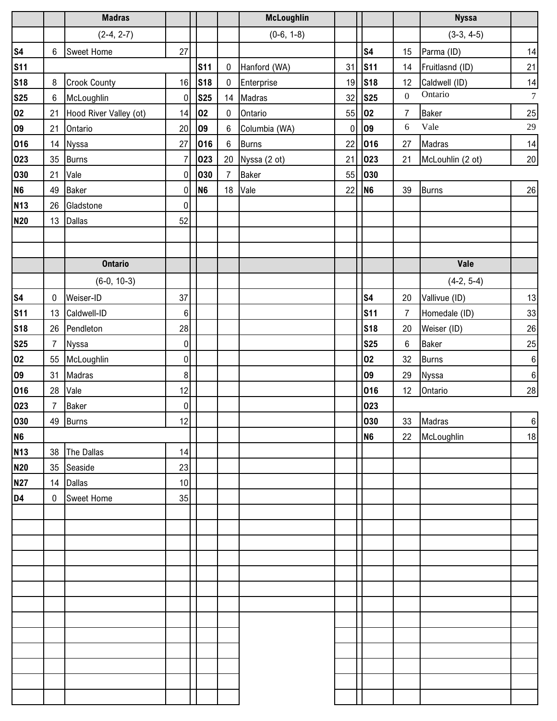|                |                  | <b>Madras</b>          |                  |                |                 | <b>McLoughlin</b> |           |                |                  | <b>Nyssa</b>     |                  |
|----------------|------------------|------------------------|------------------|----------------|-----------------|-------------------|-----------|----------------|------------------|------------------|------------------|
|                |                  | $(2-4, 2-7)$           |                  |                |                 | $(0-6, 1-8)$      |           |                |                  | $(3-3, 4-5)$     |                  |
| <b>S4</b>      | $\boldsymbol{6}$ | Sweet Home             | 27               |                |                 |                   |           | <b>S4</b>      | 15               | Parma (ID)       | 14               |
| <b>S11</b>     |                  |                        |                  | <b>S11</b>     | $\pmb{0}$       | Hanford (WA)      | 31        | <b>S11</b>     | 14               | Fruitlasnd (ID)  | 21               |
| <b>S18</b>     | $\bf 8$          | <b>Crook County</b>    | 16               | <b>S18</b>     | $\pmb{0}$       | Enterprise        | 19        | <b>S18</b>     | 12               | Caldwell (ID)    | 14               |
| <u>S25</u>     | $\boldsymbol{6}$ | McLoughlin             | $\overline{0}$   | <b>S25</b>     | 14              | Madras            | 32        | <b>S25</b>     | $\boldsymbol{0}$ | Ontario          | $\boldsymbol{7}$ |
| 02             | 21               | Hood River Valley (ot) | 14               | 02             | $\pmb{0}$       | Ontario           | 55        | 02             | $\overline{7}$   | Baker            | <b>25</b>        |
| 09             | 21               | Ontario                | $20\,$           | 09             | 6               | Columbia (WA)     | $\pmb{0}$ | 09             | 6                | Vale             | $29\,$           |
| 016            | 14               | Nyssa                  | 27               | 016            | $6\phantom{.}6$ | <b>Burns</b>      | 22        | 016            | 27               | Madras           | $14$             |
| 023            | 35               | <b>Burns</b>           | 7                | 023            | 20              | Nyssa (2 ot)      | 21        | 023            | 21               | McLouhlin (2 ot) | 20               |
| 030            | 21               | Vale                   | $\pmb{0}$        | 030            | $\overline{7}$  | <b>Baker</b>      | 55        | 030            |                  |                  |                  |
| <b>N6</b>      | 49               | <b>Baker</b>           | 0                | N <sub>6</sub> | 18              | Vale              | 22        | N <sub>6</sub> | 39               | <b>Burns</b>     | 26               |
| <b>N13</b>     | 26               | Gladstone              | 0                |                |                 |                   |           |                |                  |                  |                  |
| <b>N20</b>     | 13               | Dallas                 | 52               |                |                 |                   |           |                |                  |                  |                  |
|                |                  |                        |                  |                |                 |                   |           |                |                  |                  |                  |
|                |                  |                        |                  |                |                 |                   |           |                |                  |                  |                  |
|                |                  | <b>Ontario</b>         |                  |                |                 |                   |           |                |                  | Vale             |                  |
|                |                  | $(6-0, 10-3)$          |                  |                |                 |                   |           |                |                  | $(4-2, 5-4)$     |                  |
| <b>S4</b>      | $\boldsymbol{0}$ | Weiser-ID              | 37               |                |                 |                   |           | S <sub>4</sub> | 20               | Vallivue (ID)    | 13               |
| <b>S11</b>     | 13               | Caldwell-ID            | $\boldsymbol{6}$ |                |                 |                   |           | <b>S11</b>     | $\overline{7}$   | Homedale (ID)    | $33\,$           |
| <b>S18</b>     | 26               | Pendleton              | 28               |                |                 |                   |           | <b>S18</b>     | 20               | Weiser (ID)      | $26\,$           |
| <b>S25</b>     | $\overline{7}$   | Nyssa                  | $\pmb{0}$        |                |                 |                   |           | <b>S25</b>     | 6                | Baker            | 25               |
| 02             | 55               | McLoughlin             | $\overline{0}$   |                |                 |                   |           | 02             | 32               | <b>Burns</b>     | $\bf 6$          |
| 09             | 31               | Madras                 | $\bf 8$          |                |                 |                   |           | 09             | 29               | Nyssa            | $\bf 6$          |
| 016            | 28               | Vale                   | 12               |                |                 |                   |           | 016            | 12               | Ontario          | $28\,$           |
| 023            | $\overline{7}$   | Baker                  | 0                |                |                 |                   |           | 023            |                  |                  |                  |
| 030            |                  | 49 Burns               | 12               |                |                 |                   |           | 030            | 33               | Madras           | $6\phantom{1}$   |
| <b>N6</b>      |                  |                        |                  |                |                 |                   |           | N <sub>6</sub> | 22               | McLoughlin       | 18               |
| <b>N13</b>     | 38               | The Dallas             | 14               |                |                 |                   |           |                |                  |                  |                  |
| <b>N20</b>     |                  | 35 Seaside             | 23               |                |                 |                   |           |                |                  |                  |                  |
| <b>N27</b>     | 14               | Dallas                 | 10               |                |                 |                   |           |                |                  |                  |                  |
| D <sub>4</sub> | $\mathbf 0$      | <b>Sweet Home</b>      | 35               |                |                 |                   |           |                |                  |                  |                  |
|                |                  |                        |                  |                |                 |                   |           |                |                  |                  |                  |
|                |                  |                        |                  |                |                 |                   |           |                |                  |                  |                  |
|                |                  |                        |                  |                |                 |                   |           |                |                  |                  |                  |
|                |                  |                        |                  |                |                 |                   |           |                |                  |                  |                  |
|                |                  |                        |                  |                |                 |                   |           |                |                  |                  |                  |
|                |                  |                        |                  |                |                 |                   |           |                |                  |                  |                  |
|                |                  |                        |                  |                |                 |                   |           |                |                  |                  |                  |
|                |                  |                        |                  |                |                 |                   |           |                |                  |                  |                  |
|                |                  |                        |                  |                |                 |                   |           |                |                  |                  |                  |
|                |                  |                        |                  |                |                 |                   |           |                |                  |                  |                  |
|                |                  |                        |                  |                |                 |                   |           |                |                  |                  |                  |
|                |                  |                        |                  |                |                 |                   |           |                |                  |                  |                  |
|                |                  |                        |                  |                |                 |                   |           |                |                  |                  |                  |